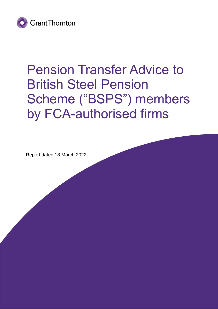

# Pension Transfer Advice to British Steel Pension Scheme ("BSPS") members by FCA-authorised firms

Report dated 18 March 2022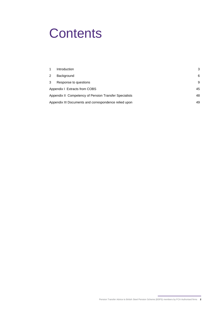# **Contents**

|                                                        | Introduction          | 3  |
|--------------------------------------------------------|-----------------------|----|
| 2                                                      | Background            | 6  |
| 3                                                      | Response to questions | 9  |
| Appendix I Extracts from COBS                          |                       | 45 |
| Appendix II Competency of Pension Transfer Specialists |                       | 48 |
| Appendix III Documents and correspondence relied upon  |                       | 49 |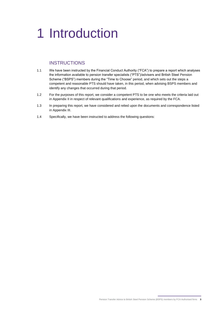# <span id="page-2-0"></span>1 Introduction

## **INSTRUCTIONS**

- 1.1 We have been instructed by the Financial Conduct Authority ("FCA") to prepare a report which analyses the information available to pension transfer specialists ("PTS")/advisers and British Steel Pension Scheme ("BSPS") members during the "Time to Choose" period, and which sets out the steps a competent and reasonable PTS should have taken, in this period, when advising BSPS members and identify any changes that occurred during that period.
- 1.2 For the purposes of this report, we consider a competent PTS to be one who meets the criteria laid out in Appendix II in respect of relevant qualifications and experience, as required by the FCA.
- 1.3 In preparing this report, we have considered and relied upon the documents and correspondence listed in Appendix III.
- 1.4 Specifically, we have been instructed to address the following questions: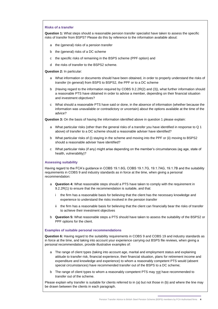#### **Risks of a transfer**

**Question 1:** What steps should a reasonable pension transfer specialist have taken to assess the specific risks of transfer from BSPS? Please do this by reference to the information available about:

- a the (general) risks of a pension transfer
- b the (general) risks of a DC scheme
- c the specific risks of remaining in the BSPS scheme (PPF option) and
- d the risks of transfer to the BSPS2 scheme.

**Question 2:** In particular:

- a What information or documents should have been obtained, in order to properly understand the risks of transfer (in general) from BSPS to BSPS2, the PPF or to a DC scheme
- b (Having regard to the information required by COBS 9.2.2R(2) and (3)), what further information should a reasonable PTS have obtained in order to advise a member, depending on their financial situation and investment objectives?
- c What should a reasonable PTS have said or done, in the absence of information (whether because the information was unavailable or contradictory or uncertain) about the options available at the time of the advice?

**Question 3:** On the basis of having the information identified above in question 1 please explain:

- a What particular risks (other than the general risks of a transfer you have identified in response to Q 1 above) of transfer to a DC scheme should a reasonable adviser have identified?
- b What particular risks of (i) staying in the scheme and moving into the PPF or (ii) moving to BSPS2 should a reasonable adviser have identified?
- c What particular risks (if any) might arise depending on the member's circumstances (eg age, state of health, vulnerability)?

#### **Assessing suitability**

Having regard to the FCA's guidance in COBS 19.1.6G, COBS 19.1.7G, 19.1.7AG, 19.1.7B and the suitability requirements in COBS 9 and industry standards as in force at the time, when giving a personal recommendation:

- a **Question 4:** What reasonable steps should a PTS have taken to comply with the requirement in 9.2.2R(1) to ensure that the recommendation is suitable, and that:
	- i the firm has a reasonable basis for believing that the client has the necessary knowledge and experience to understand the risks involved in the pension transfer
	- ii the firm has a reasonable basis for believing that the client can financially bear the risks of transfer to achieve their investment objectives
- b **Question 5:** What reasonable steps a PTS should have taken to assess the suitability of the BSPS2 or PPF options for the client.

#### **Examples of suitable personal recommendations**

**Question 6:** Having regard to the suitability requirements in COBS 9 and COBS 19 and industry standards as in force at the time, and taking into account your experience carrying out BSPS file reviews, when giving a personal recommendation, provide illustrative examples of:

- a The range of client types (taking into account age, marital and employment status and explaining attitude to transfer risk, financial experience, their financial situation, plans for retirement income and expenditure and knowledge and experience) to whom a reasonably competent PTS would (absent special circumstances) have recommended transfer out of the BSPS to a DC scheme;
- b The range of client types to whom a reasonably competent PTS may not have recommended to transfer out of the scheme.

Please explain why transfer is suitable for clients referred to in (a) but not those in (b) and where the line may be drawn between the clients in each paragraph.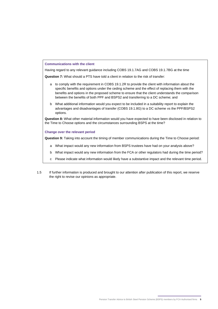#### **Communications with the client**

Having regard to any relevant guidance including COBS 19.1.7AG and COBS 19.1.7BG at the time

**Question 7:** What should a PTS have told a client in relation to the risk of transfer:

- a to comply with the requirement in COBS 19.1.2R to provide the client with information about the specific benefits and options under the ceding scheme and the effect of replacing them with the benefits and options in the proposed scheme to ensure that the client understands the comparison between the benefits of both PPF and BSPS2 and transferring to a DC scheme; and
- b What additional information would you expect to be included in a suitability report to explain the advantages and disadvantages of transfer (COBS 19.1.8G) to a DC scheme vs the PPF/BSPS2 options.

**Question 8:** What other material information would you have expected to have been disclosed in relation to the Time to Choose options and the circumstances surrounding BSPS at the time?

#### **Change over the relevant period**

**Question 9:** Taking into account the timing of member communications during the Time to Choose period:

- a What impact would any new information from BSPS trustees have had on your analysis above?
- b What impact would any new information from the FCA or other regulators had during the time period?
- c Please indicate what information would likely have a substantive impact and the relevant time period.
- 1.5 If further information is produced and brought to our attention after publication of this report, we reserve the right to revise our opinions as appropriate.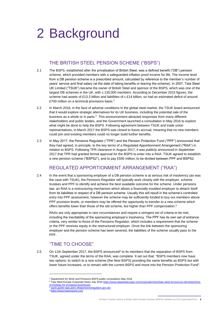# <span id="page-5-0"></span>2 Background

# THE BRITISH STEEL PENSION SCHEME ("BSPS")

- 2.1 The BSPS, established after the privatisation of British Steel, was a defined benefit ("DB") pension scheme, which provided members with a safeguarded inflation proof income for life. The income level from a DB pension scheme is a prescribed amount, calculated by reference to the member's number of years' service and final salary (at the date of taking benefits or leaving the scheme). In 2007, Tata Steel UK Limited ("TSUK") became the owner of British Steel and sponsor of the BSPS, which was one of the largest DB schemes in the UK, with c.130,000 members. According to December 2015 figures, the scheme had assets of £13.3 billion and liabilities of c.£14 billion, so had an estimated deficit of around £700 million on a technical provisions basis.<sup>1</sup>
- 2.2 In March 2016, in the face of adverse conditions in the global steel market, the TSUK board announced that it would explore strategic alternatives for its UK business, including the potential sale of the business as a whole or in parts. $2$  This announcement attracted responses from many different stakeholders and public bodies, and the Government launched a consultation in May 2016 to explore what might be done to help the BSPS. Following agreement between TSUK and trade union representatives, in March 2017 the BSPS was closed to future accrual, meaning that no new members could join and existing members could no longer build further benefits.
- 2.3 In May 2017, the Pensions Regulator ("TPR") and the Pension Protection Fund ("PPF") announced that they had agreed, in principle, to the key terms of a Regulated Apportionment Arrangement ("RAA") in relation to BSPS. Following TPR clearance in August 2017, it was publicly announced in September 2017 that TPR had granted formal approval for the BSPS to enter into a RAA. TSUK agreed to establish a new pension scheme ("BSPS2"), and to pay £550 million; to be divided between PPF and BSPS2.

# REGULATED APPORTIONMENT ARRANGEMENT ("RAA")

2.4 In the event that a sponsoring employer of a DB pension scheme is at serious risk of insolvency (as was the case with TSUK), the Pensions Regulator will typically work closely with the employer, scheme trustees and PPF to identify and achieve the best available outcome for the scheme. Under pensions law, an RAA is a restructuring mechanism which allows a financially troubled employer to detach itself from its liabilities in respect of a DB pension scheme. Usually this will result in the scheme's controlled entry into PPF assessment, however the scheme may be sufficiently funded to buy out members above PPF provision levels; or members may be offered the opportunity to transfer to a new scheme which offers benefits lower than those of the old scheme, but higher than PPF compensation.<sup>3</sup>

RAAs are only appropriate in rare circumstances and require a stringent set of criteria to be met, including the inevitability of the sponsoring employer's insolvency. The PPF has its own set of entrance criteria, very similar to those of the Pensions Regulator, which includes a requirement that the scheme or the PPF receives equity in the restructured employer. Once the link between the sponsoring employer and the pension scheme has been severed, the liabilities of the scheme usually pass to the PPF.

# "TIME TO CHOOSE"

2.5 On 11th September 2017, the BSPS announced<sup>4</sup> to its members that the separation of BSPS from TSUK, agreed under the terms of the RAA, was complete. It set out that: "BSPS members now have two options: to switch to a new scheme (the New BSPS) providing the same benefits as BSPS but with lower future increases, or to remain with the current BSPS and move into the Pension Protection Fund".

quick-quide-raas.ashx (thepensionsregulator.gov.uk)

<sup>1</sup> Department for Work and Pensions BSPS public consultation May 2016

<sup>&</sup>lt;sup>2</sup> Tata Steel Europe Corporate News July 2016 [https://www.tatasteeleurope.com/corporate/news/tata-steel-announces-developments](https://www.tatasteeleurope.com/corporate/news/tata-steel-announces-developments-of-strategy-for-european-businesses)[of-strategy-for-european-businesses](https://www.tatasteeleurope.com/corporate/news/tata-steel-announces-developments-of-strategy-for-european-businesses)

<sup>4</sup> [https://www.bspensions.com](https://www.bspensions.com/)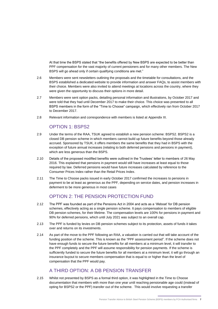At that time the BSPS stated that "the benefits offered by New BSPS are expected to be better than PPF compensation for the vast majority of current pensioners and for many other members. The New BSPS will go ahead only if certain qualifying conditions are met."

- 2.6 Members were sent newsletters outlining the proposals and the timetable for consultations, and the BSPS established a dedicated website to provide information and answer FAQs, to assist members with their choice. Members were also invited to attend meetings at locations across the country, where they were given the opportunity to discuss their options in more detail.
- 2.7 Members were sent option packs, detailing personal information and illustrations, by October 2017 and were told that they had until December 2017 to make their choice. This choice was presented to all BSPS members in the form of the "Time to Choose" campaign, which effectively ran from October 2017 to December 2017.
- 2.8 Relevant information and correspondence with members is listed at Appendix III.

# OPTION 1: BSPS2

- 2.9 Under the terms of the RAA, TSUK agreed to establish a new pension scheme: BSPS2. BSPS2 is a closed DB pension scheme in which members cannot build up future benefits beyond those already accrued. Sponsored by TSUK, it offers members the same benefits that they had in BSPS with the exception of future annual increases (relating to both deferred pensions and pensions in payment), which are less generous than the BSPS.
- 2.10 Details of the proposed modified benefits were outlined in the Trustees' letter to members of 26 May 2016. This explained that pensions in payment would still have increases at least equal to those required by law. Deferred pensions would have future increases calculated by reference to the Consumer Prices Index rather than the Retail Prices Index.
- 2.11 The Time to Choose packs issued in early October 2017 confirmed the increases to pensions in payment to be at least as generous as the PPF, depending on service dates, and pension increases in deferment to be more generous in most cases

# OPTION 2: THE PENSION PROTECTION FUND

- 2.12 The PPF was founded as part of the Pensions Act in 2004 and acts as a 'lifeboat' for DB pension schemes, effectively acting as a single pension scheme. It pays compensation to members of eligible DB pension schemes, for their lifetime. The compensation levels are 100% for pensions in payment and 90% for deferred pensions, which until July 2021 was subject to an overall cap.
- 2.13 The PPF is funded by levies on DB pension schemes subject to its protection, assets of funds it takes over and returns on its investments.
- 2.14 As part of the move to the PPF following an RAA, a valuation is carried out that will take account of the funding position of the scheme. This is known as the "PPF assessment period". If the scheme does not have enough funds to secure the future benefits for all members at a minimum level, it will transfer to the PPF completely and the PPF will assume responsibility for pension payments. If the scheme is sufficiently funded to secure the future benefits for all members at a minimum level, it will go through an insurance buyout to secure members compensation that is equal to or higher than the level of compensation that the PPF would pay.

## A THIRD OPTION: A DB PENSION TRANSFER

2.15 Whilst not presented by BSPS as a formal third option, it was highlighted in the Time to Choose documentation that members with more than one year until reaching pensionable age could (instead of opting for BSPS2 or the PPF) transfer out of the scheme. This would involve requesting a transfer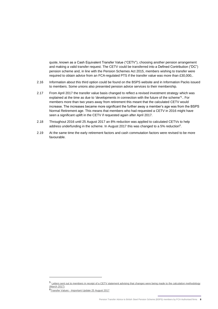quote, known as a Cash Equivalent Transfer Value ("CETV"), choosing another pension arrangement and making a valid transfer request. The CETV could be transferred into a Defined Contribution ("DC") pension scheme and, in line with the Pension Schemes Act 2015, members wishing to transfer were required to obtain advice from an FCA-regulated PTS if the transfer value was more than £30,000,.

- 2.16 Information about this third option could be found on the BSPS website and in Information Packs issued to members. Some unions also presented pension advice services to their membership.
- 2.17 From April 2017 the transfer value basis changed to reflect a revised investment strategy which was explained at the time as due to 'developments in connection with the future of the scheme'<sup>5</sup>.. For members more than two years away from retirement this meant that the calculated CETV would increase. The increases became more significant the further away a member's age was from the BSPS Normal Retirement age. This means that members who had requested a CETV in 2016 might have seen a significant uplift in the CETV if requested again after April 2017.
- 2.18 Throughout 2016 until 25 August 2017 an 8% reduction was applied to calculated CETVs to help address underfunding in the scheme. In August 2017 this was changed to a 5% reduction<sup>6</sup>.
- 2.19 At the same time the early retirement factors and cash commutation factors were revised to be more favourable.

<sup>5</sup> Letters sent out to members in receipt of a CETV statement advising that changes were being made to the calculation methodology (March 2017)

<sup>6</sup>Transfer Values - Important Update 25 August 2017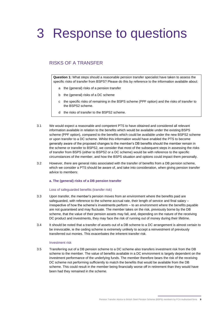# <span id="page-8-0"></span>3 Response to questions

## RISKS OF A TRANSFER

**Question 1:** What steps should a reasonable pension transfer specialist have taken to assess the specific risks of transfer from BSPS? Please do this by reference to the information available about:

- a the (general) risks of a pension transfer
- b the (general) risks of a DC scheme
- c the specific risks of remaining in the BSPS scheme (PPF option) and the risks of transfer to the BSPS2 scheme.
- d the risks of transfer to the BSPS2 scheme.
- 3.1 We would expect a reasonable and competent PTS to have obtained and considered all relevant information available in relation to the benefits which would be available under the existing BSPS scheme (PPF option), compared to the benefits which could be available under the new BSPS2 scheme or upon transfer to a DC scheme. Whilst this information would have enabled the PTS to become generally aware of the proposed changes to the member's DB benefits should the member remain in the scheme or transfer to BSPS2, we consider that most of the subsequent steps in assessing the risks of transfer from BSPS (either to BSPS2 or a DC scheme) would be with reference to the specific circumstances of the member, and how the BSPS situation and options could impact them personally.
- 3.2 However, there are general risks associated with the transfer of benefits from a DB pension scheme, which we consider a PTS should be aware of, and take into consideration, when giving pension transfer advice to members:

#### **a. The (general) risks of a DB pension transfer**

#### <span id="page-8-1"></span>Loss of safeguarded benefits (transfer risk)

- 3.3 Upon transfer, the member's pension moves from an environment where the benefits paid are safeguarded, with reference to the scheme accrual rate, their length of service and final salary irrespective of how the scheme's investments perform – to an environment where the benefits payable are not guaranteed and may fluctuate. The member takes on the risk, previously borne by the DB scheme, that the value of their pension assets may fall, and, depending on the nature of the receiving DC product and investments, they may face the risk of running out of money during their lifetime.
- 3.4 It should be noted that a transfer of assets out of a DB scheme to a DC arrangement is almost certain to be irrevocable, ie the ceding scheme is extremely unlikely to accept a reinvestment of previously transferred out monies. This exacerbates the inherent transfer risk.

#### <span id="page-8-2"></span>Investment risk

3.5 Transferring out of a DB pension scheme to a DC scheme also transfers investment risk from the DB scheme to the member. The value of benefits available in a DC environment is largely dependent on the investment performance of the underlying funds. The member therefore bears the risk of the receiving DC scheme not performing sufficiently to match the benefits that would be available from the DB scheme. This could result in the member being financially worse off in retirement than they would have been had they remained in the scheme.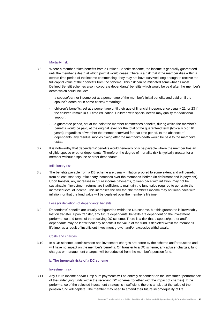#### Mortality risk

- 3.6 Where a member takes benefits from a Defined Benefits scheme, the income is generally guaranteed until the member's death at which point it would cease. There is a risk that if the member dies within a certain time period of the income commencing, they may not have survived long enough to receive the full capital value of their benefits from the scheme. This risk can be mitigated somewhat as most Defined Benefit schemes also incorporate dependants' benefits which would be paid after the member's death which could include:
	- a spouse/partner income set at a percentage of the member's initial benefits and paid until the spouse's death or (in some cases) remarriage.
	- children's benefits, set at a percentage until their age of financial independence usually 21, or 23 if the children remain in full time education. Children with special needs may qualify for additional support.
	- a quarantee period, set at the point the member commences benefits, during which the member's benefits would be paid, at the original level, for the total of the guaranteed term (typically 5 or 10 years), regardless of whether the member survived for that time period. In the absence of dependants, any residual monies owing after the member's death would be paid to the member's estate.
- 3.7 It is noteworthy that dependants' benefits would generally only be payable where the member has an eligible spouse or other dependants. Therefore, the degree of mortality risk is typically greater for a member without a spouse or other dependants.

#### <span id="page-9-0"></span>Inflationary risk

3.8 The benefits payable from a DB scheme are usually inflation proofed to some extent and will benefit from at least statutory inflationary increases over the member's lifetime (in deferment and in payment). Upon transfer, any increases in future income payments, to keep pace with inflation, may not be sustainable if investment returns are insufficient to maintain the fund value required to generate the increased level of income. This increases the risk that the member's income may not keep pace with inflation, or that the fund value will be depleted over the member's lifetime.

#### <span id="page-9-1"></span>Loss (or depletion) of dependants' benefits

3.9 Dependants' benefits are usually safeguarded within the DB scheme, but this guarantee is irrevocably lost on transfer. Upon transfer, any future dependants' benefits are dependent on the investment performance and terms of the receiving DC scheme. There is a risk that a spouse/partner and/or dependants may be left without any benefits if the value of the fund is depleted within the member's lifetime, as a result of insufficient investment growth and/or excessive withdrawals.

#### Costs and charges

3.10 In a DB scheme, administration and investment charges are borne by the scheme and/or trustees and will have no impact on the member's benefits. On transfer to a DC scheme, any adviser charges, fund charges or management charges, will be deducted from the member's pension fund.

#### **b. The (general) risks of a DC scheme**

#### Investment risk

3.11 Any future income and/or lump sum payments will be entirely dependent on the investment performance of the underlying funds within the receiving DC scheme (together with the impact of charges). If the performance of the selected investment strategy is insufficient, there is a risk that the value of the pension fund will deplete. The member may need to amend their future income/quality of life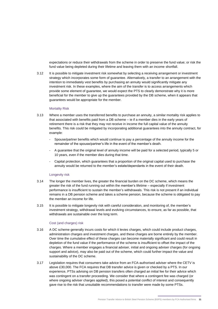expectations or reduce their withdrawals from the scheme in order to preserve the fund value; or risk the fund value being depleted during their lifetime and leaving them with an income shortfall.

3.12 It is possible to mitigate investment risk somewhat by selecting a receiving arrangement or investment strategy which incorporates some form of guarantee. Alternatively, a transfer to an arrangement with the intention to immediately vest benefits by purchasing an annuity would significantly mitigate any investment risk. In these examples, where the aim of the transfer is to access arrangements which provide some element of guarantee, we would expect the PTS to clearly demonstrate why it is more beneficial for the member to give up the guarantees provided by the DB scheme, when it appears that guarantees would be appropriate for the member.

#### Mortality Risk

- 3.13 Where a member uses the transferred benefits to purchase an annuity, a similar mortality risk applies to that associated with benefits paid from a DB scheme – ie if a member dies in the early years of retirement there is a risk that they may not receive in income the full capital value of the annuity benefits. This risk could be mitigated by incorporating additional guarantees into the annuity contract, for example:
	- Spouse/partner benefits which would continue to pay a percentage of the annuity income for the remainder of the spouse/partner's life in the event of the member's death.
	- A guarantee that the original level of annuity income will be paid for a selected period, typically 5 or 10 years, even if the member dies during that time.
	- Capital protection, which guarantees that a proportion of the original capital used to purchase the annuity would be returned to the member's estate/dependants in the event of their death.

#### Longevity risk

- 3.14 The longer the member lives, the greater the financial burden on the DC scheme, which means the greater the risk of the fund running out within the member's lifetime – especially if investment performance is insufficient to sustain the member's withdrawals. This risk is not present if an individual remains in a DB pension scheme and takes a scheme pension, because the scheme is obligated to pay the member an income for life.
- 3.15 It is possible to mitigate longevity risk with careful consideration, and monitoring of, the member's investment strategy, withdrawal levels and evolving circumstances, to ensure, as far as possible, that withdrawals are sustainable over the long term.

#### Cost (and charges) risk

- 3.16 A DC scheme generally incurs costs for which it levies charges, which could include product charges, administration charges and investment charges, and these charges are borne entirely by the member. Over time the cumulative effect of these charges can become materially significant and could result in depletion of the fund value if the performance of the scheme is insufficient to offset the impact of the charges. Where a member engages a financial adviser, initial and ongoing adviser charges (for ongoing support and advice), may also be paid out of the scheme, which could further impact the value and sustainability of the DC scheme.
- 3.17 Legislation requires that consumers take advice from an FCA-authorised adviser where the CETV is above £30,000. The FCA requires that DB transfer advice is given or checked by a PTS. In our experience, PTSs advising on DB pension transfers often charged an initial fee for their advice which was contingent on a transfer proceeding. We consider that where a contingent fee was charged (or where ongoing adviser charges applied), this posed a potential conflict of interest and consequently gave rise to the risk that unsuitable recommendations to transfer were made by some PTSs.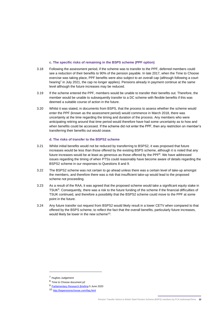#### **c. The specific risks of remaining in the BSPS scheme (PPF option)**

- 3.18 Following the assessment period, if the scheme was to transfer to the PPF, deferred members could see a reduction of their benefits to 90% of the pension payable. In late 2017, when the Time to Choose exercise was taking place, PPF benefits were also subject to an overall cap (although following a court hearing<sup>7</sup> in July 2021, the cap no longer applies). Pensions already in payment continue at the same level although the future increases may be reduced.
- 3.19 If the scheme entered the PPF, members would be unable to transfer their benefits out. Therefore, the member would be unable to subsequently transfer to a DC scheme with flexible benefits if this was deemed a suitable course of action in the future.
- 3.20 Whilst it was stated, in documents from BSPS, that the process to assess whether the scheme would enter the PPF (known as the assessment period) would commence in March 2018, there was uncertainty at the time regarding the timing and duration of the process. Any members who were anticipating retiring around that time period would therefore have had some uncertainty as to how and when benefits could be accessed. If the scheme did not enter the PPF, then any restriction on member's transferring their benefits out would cease.

#### **d. The risks of transfer to the BSPS2 scheme**

- 3.21 Whilst initial benefits would not be reduced by transferring to BSPS2, it was proposed that future increases would be less than those offered by the existing BSPS scheme, although it is noted that any future increases would be at least as generous as those offered by the PPF<sup>8</sup>. We have addressed issues regarding the timing of when PTSs could reasonably have become aware of details regarding the BSPS2 scheme in our responses to Questions 8 and 9.
- 3.22 The BSPS2 scheme was not certain to go ahead unless there was a certain level of take-up amongst the members, and therefore there was a risk that insufficient take-up would lead to the proposed scheme not proceeding.
- 3.23 As a result of the RAA, it was agreed that the proposed scheme would take a significant equity stake in TSUK<sup>9</sup>. Consequently, there was a risk to the future funding of the scheme if the financial difficulties of TSUK continued, and therefore a possibility that the BSPS2 scheme could move to the PPF at some point in the future.
- 3.24 Any future transfer out request from BSPS2 would likely result in a lower CETV when compared to that offered by the BSPS scheme, to reflect the fact that the overall benefits, particularly future increases, would likely be lower in the new scheme<sup>10</sup>.

<sup>7</sup> Hughes Judgement

<sup>8</sup> Time to Choose document p2

<sup>9</sup> [Parliamentary Research Briefing](https://researchbriefings.files.parliament.uk/documents/CBP-8288/CBP-8288.pdf) 5 June 2020

<sup>10</sup> <http://bspensionschoose.com/faq.html>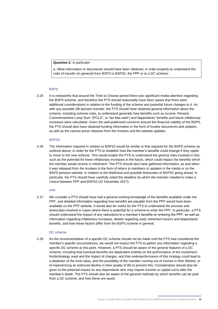**Question 2:** In particular:

a. What information or documents should have been obtained, in order properly to understand the risks of transfer (in general) from BSPS to BSPS2, the PPF or to a DC scheme;

#### **BSPS**

3.25 It is noteworthy that around the Time to Choose period there was significant media attention regarding the BSPS scheme, and therefore the PTS should reasonably have been aware that there were additional considerations in relation to the funding of the scheme and potential future changes to it. As with any possible DB pension transfer, the PTS should have obtained general information about the scheme, including scheme rules, to understand generally how benefits such as income, Pension Commencement Lump Sum "(PCLS", or 'tax free cash') and dependants' benefits and future inflationary increases were calculated. Given the well-publicised concerns around the financial viability of the BSPS, the PTS should also have obtained funding information in the form of trustee documents and updates, as well as the various press releases from the trustees and the website updates.

#### BSPS2

3.26 The information required in relation to BSPS2 would be similar to that required for the BSPS scheme as outlined above, in order for the PTS to establish how the member's benefits could change if they opted to move to the new scheme. This would enable the PTS to understand the general risks involved in this, such as the potential for lower inflationary increases in the future, which could impact the benefits which the member would receive in retirement. The PTS should also have gathered information, as and when it was released from the trustees in the form of letters to members or updates in the media or on the BSPS pension website, in relation to the likelihood and possible timescales of BSPS2 going ahead. In particular, the PTS should have carefully noted the deadline by which the member needed to make a choice between PPF and BSPS2 (22 December 2017).

#### PPF

3.27 We consider a PTS should have had a general working knowledge of the benefits available under the PPF, and detailed information regarding how benefits are payable from the PPF would have been available on the PPF website. It would also be useful for the PTS to understand the process and timescales involved in cases where there is potential for a scheme to enter the PPF. In particular, a PTS should understand the impact of any reductions to a member's benefits on entering the PPF, as well as information regarding inflationary increases, details regarding early retirement factors and dependants' benefits, and how these factors differ from the BSPS scheme in general.

#### DC scheme

3.28 As the recommendation of a specific DC scheme should not be made until the PTS had considered the member's specific circumstances, we would not expect the PTS to gather any information regarding a specific DC scheme at this point. However, a PTS should be aware of the general features of a DC scheme, including that eventual benefits are dependent entirely on the performance of the investment funds/strategy used and the impact of charges, and that underperformance of this strategy could lead to a depletion of the fund value, and the possibility of the member running out of monies in their lifetime, or of experiencing an enforced decline in their quality of life to prevent this. Consideration should also be given to the potential impact on any dependants who may require income or capital sums after the member's death. The PTS should also be aware of the general methods by which benefits can be paid from a DC scheme, and how these are taxed.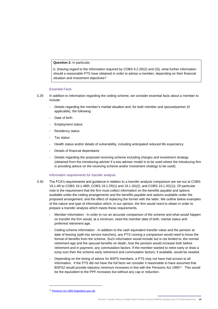**Question 2:** In particular:

b. (Having regard to the information required by COBS 9.2.2R(2) and (3)), what further information should a reasonable PTS have obtained in order to advise a member, depending on their financial situation and investment objectives?

#### Essential Facts

- 3.29 In addition to information regarding the ceding scheme, we consider essential facts about a member to include:
	- Details regarding the member's marital situation and, for both member and spouse/partner (if applicable), the following:
	- Date of birth
	- Employment status
	- Residency status
	- Tax status
	- Health status and/or details of vulnerability, including anticipated reduced life expectancy
	- Details of financial dependants
	- Details regarding the proposed receiving scheme including charges and investment strategy (obtained from the introducing adviser if a two-adviser model is to be used where the introducing firm is providing advice on the receiving scheme and/or investment strategy to be used).

#### Information requirements for transfer analysis

- 3.30 The FCA's requirements and guidance in relation to a transfer analysis comparison are set out at COBS 19.1.4R to COBS 19.1.4BR, COBS 19.1.2R(1) and 19.1.3G(2), and COBS 19.1.3G(1)). Of particular note is the requirement that the firm must collect information on the benefits payable and options available under the ceding arrangements and the benefits payable and options available under the proposed arrangement, and the effect of replacing the former with the latter. We outline below examples of the nature and type of information which, in our opinion, the firm would need to obtain in order to prepare a transfer analysis which meets these requirements.
	- Member information In order to run an accurate comparison of the scheme and what would happen on transfer the firm would, at a minimum, need the member date of birth, marital status and preferred retirement age.
	- Ceding scheme information In addition to the cash equivalent transfer value and the pension at date of leaving (split into service tranches), any PTS running a comparison would need to know the format of benefits from the scheme. Such information would include but is not limited to; the normal retirement age and the spousal benefits on death, how the pension would increase both before retirement and in payment, any commutation factors. If the member wanted to retire early or draw a lump sum then the scheme early retirement and commutation factors, if available, would be needed.
	- Depending on the timing of advice for BSPS members, a PTS may not have had access to all information. If the PTS did not have the full facts we consider it reasonable to have assumed that BSPS2 would provide statutory minimum increases in line with the Pensions Act 1995<sup>11</sup>. This would be the equivalent to the PPF increases but without any cap or reduction.

<sup>11</sup> [Pensions Act 1995 \(legislation.gov.uk\)](https://www.legislation.gov.uk/ukpga/1995/26/contents/enacted)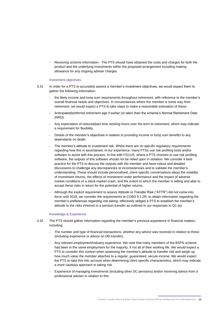Receiving scheme information - The PTS should have obtained the costs and charges for both the product and the underlying investments within the proposed arrangement including making allowance for any ongoing adviser charges.

#### Investment objectives

- 3.31 In order for a PTS to accurately assess a member's investment objectives, we would expect them to gather the following information:
	- the likely income and lump sum requirements throughout retirement, with reference to the member's overall financial needs and objectives. In circumstances where the member is some way from retirement, we would expect a PTS to take steps to make a reasonable estimation of these.
	- Anticipated/preferred retirement age if earlier (or later) than the scheme's Normal Retirement Date (NRD).
	- Any expectation of reduced/part time working hours over the term to retirement, which may indicate a requirement for flexibility.
	- Details of the member's objectives in relation to providing income or lump sum benefits to any dependants on death.
	- The member's attitude to investment risk. Whilst there are no specific regulatory requirements regarding how this is ascertained, in our experience, many PTSs use risk profiling tools and/or software to assist with this process. In line with FG11/5, where a PTS chooses to use risk profiling software, the outputs of this software should not be relied upon in isolation. We consider it best practice for the PTS to discuss the outputs with the member and have robust and detailed discussions to challenge any discrepancies or inconsistencies and to validate the member's understanding. These should include personalised, client-specific conversations about the volatility of investment returns, the effects of investment under performance and the impact of adverse market conditions or a stock-market crash, and the extent to which the member is willing and able to accept these risks in return for the potential of higher returns.
	- Although the explicit requirement to assess Attitude to Transfer Risk ("ATTR") did not come into force until 2018, we consider the requirements at COBS 9.2.2R, to obtain information regarding the member's preferences regarding risk taking, effectively obliged a PTS to establish the member's attitude to the risks inherent in a pension transfer as outlined in our responses to Q1 (a).

#### Knowledge & Experience

- 3.32 The PTS should gather information regarding the member's previous experience in financial matters, including:
	- The number and type of financial transactions, whether any advice was received in relation to these (including experience or advice on DB transfer).
	- Any relevant employment/industry experience. We note that many members of the BSPS scheme had been in the same employment for the majority, if not all of their working life. We would expect a PTS to consider this context when assessing the member's attitude to transfer risk and weigh up how much value the member attaches to a regular, guaranteed, secure income. We would expect the PTS to take this into account when determining client specific characteristics, which may indicate a more cautious approach to taking risk.
	- Experience of managing investments (including other DC pensions) and/or receiving advice from a professional adviser in relation to this.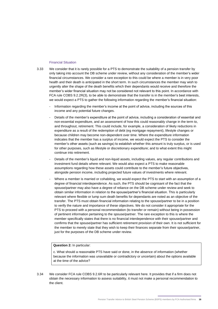#### Financial Situation

- 3.33 We consider that it is rarely possible for a PTS to demonstrate the suitability of a pension transfer by only taking into account the DB scheme under review, without any consideration of the member's wider financial circumstances. We consider a rare exception to this could be where a member is in very poor health and their death is anticipated in the short term. In such circumstances the member may wish to urgently alter the shape of the death benefits which their dependants would receive and therefore the member's wider financial situation may not be considered not relevant to this point. In accordance with FCA rule COBS 9.2.2R(3), to be able to demonstrate that the transfer is in the member's best interests, we would expect a PTS to gather the following information regarding the member's financial situation:
	- Information regarding the member's income at the point of advice, including the sources of this income and any potential future changes.
	- Details of the member's expenditure at the point of advice, including a consideration of essential and non-essential expenditure, and an assessment of how this could reasonably change in the term to, and throughout, retirement. This could include, for example, a consideration of likely reductions in expenditure as a result of the redemption of debt (eg mortgage repayment), lifestyle changes or because children may become non-dependent over time. Where the expenditure information indicates that the member has a surplus of income, we would expect the PTS to consider the member's other assets (such as savings) to establish whether this amount is truly surplus, or is used for other purposes, such as lifestyle or discretionary expenditure; and to what extent this might continue into retirement.
	- Details of the member's liquid and non-liquid assets, including values, any regular contributions and investment fund details where relevant. We would also expect a PTS to make reasonable assumptions regarding how these assets could contribute to the member's future objectives, alongside pension income, including projected future values of investments where relevant.
	- Where a member is married or cohabiting, we would expect the PTS to start with an assumption of a degree of financial interdependence. As such, the PTS should be cognisant of the fact that the spouse/partner may also have a degree of reliance on the DB scheme under review and seek to obtain similar information in relation to the spouse/partner's financial situation. This is particularly relevant where flexible or lump sum death benefits for dependants are noted as an objective of the transfer. The PTS must obtain financial information relating to the spouse/partner to be in a position to verify the nature and importance of these objectives. We do not consider it appropriate for the PTS to proceed with a personal recommendation (to transfer or remain) without being in possession of pertinent information pertaining to the spouse/partner. The rare exception to this is where the member specifically states that there is no financial interdependence with their spouse/partner and confirms that the spouse/partner has sufficient retirement provision of their own. It is not sufficient for the member to merely state that they wish to keep their finances separate from their spouse/partner, just for the purposes of the DB scheme under review.

#### **Question 2:** In particular:

c. What should a reasonable PTS have said or done, in the absence of information (whether because the information was unavailable or contradictory or uncertain) about the options available at the time of the advice?

3.34 We consider FCA rule COBS 9.2.6R to be particularly relevant here. It provides that if a firm does not obtain the necessary information to assess suitability, it must not make a personal recommendation to the client.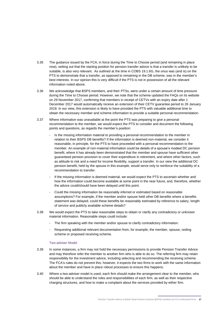- 3.35 The guidance issued by the FCA, in force during the Time to Choose period (and remaining in place now), setting out that the starting position for pension transfer advice is that a transfer is unlikely to be suitable, is also very relevant. As outlined at the time in COBS 19.1.6G, the onus was (and is) on the PTS to demonstrate that a transfer, as opposed to remaining in the DB scheme, was in the member's best interests. In our opinion this is very difficult if the PTS is not in possession of all the relevant information noted above.
- 3.36 We acknowledge that BSPS members, and their PTSs, were under a certain amount of time pressure during the Time to Choose period. However, we note that the scheme updated the FAQs on its website on 29 November 2017, confirming that members in receipt of CETVs with an expiry date after 1 December 2017 would automatically receive an extension of their CETV guarantee period to 26 January 2018. In our view, this extension is likely to have provided the PTS with valuable additional time to obtain the necessary member and scheme information to provide a suitable personal recommendation.
- 3.37 Where information was unavailable at the point the PTS was preparing to give a personal recommendation to the member, we would expect the PTS to consider and document the following points and questions, as regards the member's position:
	- Is the missing information material to providing a personal recommendation to the member in relation to their BSPS DB benefits? If the information is deemed non-material, we consider it reasonable, in principle, for the PTS to have proceeded with a personal recommendation to the member. An example of non-material information could be details of a spouse's modest DC pension benefit, where it has already been demonstrated that the member and spouse have sufficient other guaranteed pension provision to cover their expenditure in retirement, and where other factors, such as attitude to risk and a need for income flexibility, support a transfer. In our view the additional DC pension benefit, held by the spouse in this example, would serve only to reinforce the suitability of a recommendation to transfer.
	- If the missing information is deemed material, we would expect the PTS to ascertain whether and how the information could become available at some point in the near future, and, therefore, whether the advice could/should have been delayed until this point.
	- Could the missing information be reasonably inferred or estimated based on reasonable assumptions? For example, if the member and/or spouse held other DB benefits where a benefits statement was delayed, could these benefits be reasonably estimated by reference to salary, length of service and publicly available scheme details?
- 3.38 We would expect the PTS to take reasonable steps to obtain or clarify any contradictory or unknown material information. Reasonable steps could include:
	- The firm speaking with the member and/or spouse to clarify contradictory information.
	- Requesting additional relevant documentation from, for example, the member, spouse, ceding scheme or proposed receiving scheme.

#### Two-adviser Model

- 3.39 In some instances, a firm may not hold the necessary permissions to provide Pension Transfer Advice and may therefore refer the member to another firm who is able to do so. The referring firm may retain responsibility for the investment advice, including selecting and recommending the receiving scheme. The FCA's rules do not prevent this; however, it expects the two firms to work with the same information about the member and have in place robust processes to ensure this happens.
- 3.40 Where a two-adviser model is used, each firm should make the arrangement clear to the member, who should be able to understand the roles and responsibilities of each firm, as well as their respective charging structures, and how to make a complaint about the services provided by either firm.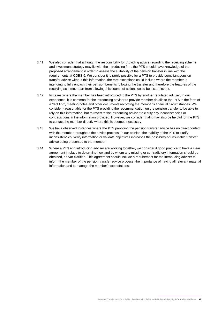- 3.41 We also consider that although the responsibility for providing advice regarding the receiving scheme and investment strategy may lie with the introducing firm, the PTS should have knowledge of the proposed arrangement in order to assess the suitability of the pension transfer in line with the requirements at COBS 9. We consider it is rarely possible for a PTS to provide compliant pension transfer advice without this information; the rare exceptions could include where the member is intending to fully encash their pension benefits following the transfer and therefore the features of the receiving scheme, apart from allowing this course of action, would be less relevant.
- 3.42 In cases where the member has been introduced to the PTS by another regulated adviser, in our experience, it is common for the introducing adviser to provide member details to the PTS in the form of a 'fact find', meeting notes and other documents recording the member's financial circumstances. We consider it reasonable for the PTS providing the recommendation on the pension transfer to be able to rely on this information, but to revert to the introducing adviser to clarify any inconsistencies or contradictions in the information provided. However, we consider that it may also be helpful for the PTS to contact the member directly where this is deemed necessary.
- 3.43 We have observed instances where the PTS providing the pension transfer advice has no direct contact with the member throughout the advice process. In our opinion, the inability of the PTS to clarify inconsistencies, verify information or validate objectives increases the possibility of unsuitable transfer advice being presented to the member.
- 3.44 Where a PTS and introducing adviser are working together, we consider it good practice to have a clear agreement in place to determine how and by whom any missing or contradictory information should be obtained, and/or clarified. This agreement should include a requirement for the introducing adviser to inform the member of the pension transfer advice process, the importance of having all relevant material information and to manage the member's expectations.

Pension Transfer Advice to British Steel Pension Scheme (BSPS) members by FCA Authorised firms **18**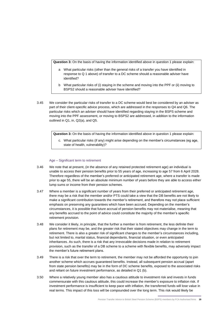**Question 3:** On the basis of having the information identified above in question 1 please explain:

- a What particular risks (other than the general risks of a transfer you have identified in response to Q 1 above) of transfer to a DC scheme should a reasonable adviser have identified?
- b What particular risks of (i) staying in the scheme and moving into the PPF or (ii) moving to BSPS2 should a reasonable adviser have identified?
- 3.45 We consider the particular risks of transfer to a DC scheme would best be considered by an adviser as part of their client-specific advice process, which are addressed in the responses to Q4 and Q6. The particular risks which an adviser should have identified regarding staying in the BSPS scheme and moving into the PPF assessment, or moving to BSPS2 are addressed, in addition to the information outlined in Q1, in, Q2(a), and Q5.

**Question 3:** On the basis of having the information identified above in question 1 please explain:

c. What particular risks (if any) might arise depending on the member's circumstances (eg age, state of health, vulnerability)?

#### Age – Significant term to retirement

- 3.46 We note that at present, (in the absence of any retained protected retirement age) an individual is unable to access their pension benefits prior to 55 years of age, increasing to age 57 from 6 April 2028. Therefore regardless of the member's preferred or anticipated retirement age, where a transfer is made prior to age 55, there will be an absolute minimum number of years before they are able to access either lump sums or income from their pension schemes.
- 3.47 Where a member is a significant number of years from their preferred or anticipated retirement age, there may be a risk that the member and/or PTS could take a view that the DB benefits are not likely to make a significant contribution towards the member's retirement, and therefore may not place sufficient emphasis on preserving any guarantees which have been accrued. Depending on the member's circumstances, it is possible that future accrual of pension benefits may not materialise, meaning that any benefits accrued to the point of advice could constitute the majority of the member's specific retirement provision.
- 3.48 We consider it likely, in principle, that the further a member is from retirement, the less definite their plans for retirement may be, and the greater risk that their stated objectives may change in the term to retirement. There is also a greater risk of significant changes to the member's circumstances including, but not limited to, marital status, financial dependants, financial situation, or even anticipated inheritances. As such, there is a risk that any irrevocable decisions made in relation to retirement provision, such as the transfer of a DB scheme to a scheme with flexible benefits, may adversely impact the member's future retirement plans.
- 3.49 There is a risk that over the term to retirement, the member may not be afforded the opportunity to join another scheme which accrues guaranteed benefits. Instead, all subsequent pension accrual (apart from state pension benefits) may be in the form of DC scheme benefits, exposed to the associated risks and reliant on future investment performance, as detailed in Q1 (b).
- 3.50 Where a relatively young member also has a cautious attitude to investment risk and invests in funds commensurate with this cautious attitude, this could increase the member's exposure to inflation risk. If investment performance is insufficient to keep pace with inflation, the transferred funds will lose value in real terms. This impact of this loss will be compounded over the long term. This risk would likely be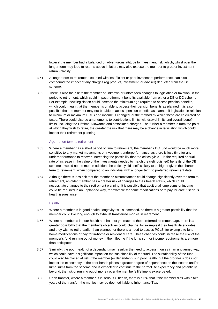lower if the member had a balanced or adventurous attitude to investment risk, which, whilst over the longer term may lead to returns above inflation, may also expose the member to greater investment return volatility.

- 3.51 A longer term to retirement, coupled with insufficient or poor investment performance, can also compound the impact of any charges (eg product, investment, or adviser) deducted from the DC scheme.
- 3.52 There is also the risk to the member of unknown or unforeseen changes to legislation or taxation, in the period to retirement, which could impact retirement benefits available from either a DB or DC scheme. For example, new legislation could increase the minimum age required to access pension benefits, which could mean that the member is unable to access their pension benefits as planned. It is also possible that the member may not be able to access pension benefits as planned if legislation in relation to minimum or maximum PCLS and income is changed, or the method by which these are calculated or taxed. There could also be amendments to contributions limits, withdrawal limits and overall benefit limits, including the Lifetime Allowance and associated charges. The further a member is from the point at which they wish to retire, the greater the risk that there may be a change in legislation which could impact their retirement planning.

#### Age – short term to retirement

- 3.53 Where a member has a short period of time to retirement, the member's DC fund would be much more sensitive to any market movements or investment underperformance, as there is less time for any underperformance to recover, increasing the possibility that the critical yield – ie the required annual rate of increase in the value of the investments needed to match the (relinquished) benefits of the DB scheme – would not be met. In addition, the critical yield itself is likely to be higher given the shorter term to retirement, when compared to an individual with a longer term to preferred retirement date.
- 3.54 Although there is less risk that the member's circumstances could change significantly over the term to retirement, an older member has a greater risk of changes to their health status, which could necessitate changes to their retirement planning. It is possible that additional lump sums or income could be required in an unplanned way, for example for home modifications or to pay for care if serious health issues arise.

#### **Health**

- 3.55 Where a member is in good health, longevity risk is increased, as there is a greater possibility that the member could live long enough to exhaust transferred monies in retirement.
- 3.56 Where a member is in poor health and has not yet reached their preferred retirement age, there is a greater possibility that the member's objectives could change, for example if their health deteriorates and they wish to retire earlier than planned, or there is a need to access PCLS, for example to fund home modifications or pay for in-home or residential care. These changes could increase the risk of the member's fund running out of money in their lifetime if the lump sum or income requirements are more than anticipated.
- 3.57 Similarly, the poor health of a dependant may result in the need to access monies in an unplanned way, which could have a significant impact on the sustainability of the fund. The sustainability of the fund could also be placed at risk if the member (or dependant) is in poor health, but the prognosis does not impact life expectancy. If the poor health places a greater degree of dependence on the income and/or lump sums from the scheme and is expected to continue to the normal life expectancy and potentially beyond, the risk of running out of money over the member's lifetime is exacerbated.
- 3.58 Upon transfer, where a member is in serious ill health, there is a risk that if the member dies within two years of the transfer, the monies may be deemed liable to Inheritance Tax.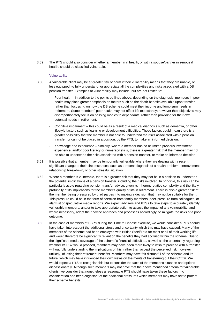3.59 The PTS should also consider whether a member in ill health, or with a spouse/partner in serious ill health, should be classified vulnerable.

#### Vulnerability

- 3.60 A vulnerable client may be at greater risk of harm if their vulnerability means that they are unable, or less equipped, to fully understand, or appreciate all the complexities and risks associated with a DB pension transfer. Examples of vulnerability may include, but are not limited to:
	- Poor health in addition to the points outlined above, depending on the diagnosis, members in poor health may place greater emphasis on factors such as the death benefits available upon transfer, rather than focussing on how the DB scheme could meet their income and lump sum needs in retirement. Some members' poor health may not affect life expectancy; however their objectives may disproportionately focus on passing monies to dependants, rather than providing for their own potential needs in retirement.
	- Cognitive impairment this could be as a result of a medical diagnosis such as dementia, or other lifestyle factors such as learning or development difficulties. These factors could mean there is a greater possibility that the member is not able to understand the risks associated with a pension transfer, or cannot be placed in a position, by the PTS, to make an informed decision.
	- Knowledge and experience similarly, where a member has no or limited previous investment experience, and/or poor literacy or numeracy skills, there is a greater risk that the member may not be able to understand the risks associated with a pension transfer, or make an informed decision.
- 3.61 It is possible that a member may be temporarily vulnerable where they are dealing with a recent significant change to their circumstances, such as a recent diagnosis of a health problem, bereavement, relationship breakdown, or other stressful situation.
- 3.62 Where a member is vulnerable, there is a greater risk that they may not be in a position to understand the potential implications of a pension transfer, including the risks involved. In principle, this risk can be particularly acute regarding pension transfer advice, given its inherent relative complexity and the likely profundity of its implications for the member's quality of life in retirement. There is also a greater risk of the member being pressured by third parties into making a decision that may not be suitable for them. This pressure could be in the form of coercion from family members, peer-pressure from colleagues, or alarmist or speculative media reports. We expect advisers and PTSs to take steps to accurately identify vulnerable members, and/or to take appropriate action to assess the impact of any vulnerability, and where necessary, adapt their advice approach and processes accordingly, to mitigate the risks of a poor outcome.
- 3.63 In the case of members of BSPS during the Time to Choose exercise, we would consider a PTS should have taken into account the additional stress and uncertainty which this may have caused. Many of the members of the scheme had been employed with British Steel/Tata for most or all of their working life and would therefore be significantly reliant on the benefits they had accrued within the scheme. Due to the significant media coverage of the scheme's financial difficulties, as well as the uncertainty regarding whether BSPS2 would proceed, members may have been more likely to wish to proceed with a transfer without fully understanding the implications of this, rather than accept the perceived risk, however unlikely, of losing their retirement benefits. Members may have felt distrustful of the scheme and its future, which may have influenced their own views on the merits of transferring out their CETV. We would expect a PTS to recognise this but to consider the facts of the member's situation and options dispassionately. Although such members may not have met the above mentioned criteria for vulnerable clients, we consider that nonetheless a reasonable PTS should have taken these factors into consideration and been cognisant of the additional pressures which members may have felt to protect their scheme benefits.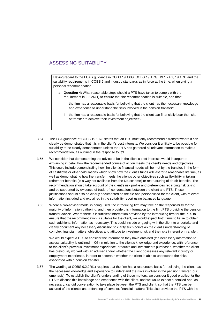# ASSESSING SUITABILITY

Having regard to the FCA's guidance in COBS 19.1.6G, COBS 19.1.7G, 19.1.7AG, 19.1.7B and the suitability requirements in COBS 9 and industry standards as in force at the time, when giving a personal recommendation:

- a **Question 4:** What reasonable steps should a PTS have taken to comply with the requirement in 9.2.2R(1) to ensure that the recommendation is suitable, and that:
	- i the firm has a reasonable basis for believing that the client has the necessary knowledge and experience to understand the risks involved in the pension transfer?
	- ii the firm has a reasonable basis for believing that the client can financially bear the risks of transfer to achieve their investment objectives?
- 3.64 The FCA guidance at COBS 19.1.6G states that an PTS must only recommend a transfer where it can clearly be demonstrated that it is in the client's best interests. We consider it unlikely to be possible for suitability to be clearly demonstrated unless the PTS has gathered all relevant information to make a recommendation, as outlined in the response to Q3.
- 3.65 We consider that demonstrating the advice to be in the client's best interests would incorporate explaining in detail how the recommended course of action meets the client's needs and objectives. This could include demonstrating how the client's financial needs will be met by the transfer, in the form of cashflows or other calculations which show how the client's funds will last for a reasonable lifetime, as well as demonstrating how the transfer meets the client's other objectives such as flexibility in taking retirement benefits (in a way not available from the DB scheme) or restructuring of death benefits. The recommendation should take account of the client's risk profile and preferences regarding risk taking and be supported by evidence of trade-off conversations between the client and PTS. These justifications should also be clearly documented on the file and personalised for the client, with relevant information included and explained in the suitability report using balanced language.
- 3.66 Where a two-adviser model is being used, the introducing firm may take on the responsibility for the majority of information gathering, and then provide this information to the firm/PTS providing the pension transfer advice. Where there is insufficient information provided by the introducing firm for the PTS to ensure that the recommendation is suitable for the client, we would expect both firms to liaise to obtain such additional information as necessary. This could include engaging with the client to undertake and clearly document any necessary discussion to clarify such points as the client's understanding of complex financial matters, objectives and attitude to investment risk and the risks inherent on transfer.

We would expect a PTS to consider the information they have obtained (the necessary information to assess suitability is outlined in Q3) in relation to the client's knowledge and experience, with reference to the client's previous investment experience, products and investments purchased, whether the client has previously worked with an adviser and/or whether the client possesses any relevant industry or employment experience, in order to ascertain whether the client is able to understand the risks associated with a pension transfer.

3.67 The wording at COBS 9.2.2R(1) requires that the firm has a reasonable basis for believing the client has the necessary knowledge and experience to understand the risks involved in the pension transfer (our emphasis). To establish the client's understanding of these matters, we consider it good practice for the PTS to discuss this knowledge and experience with the client, and we would expect a detailed and, as necessary, candid conversation to take place between the PTS and client, so that the PTS can be assured of the client's understanding of complex financial matters. This also provides the PTS with the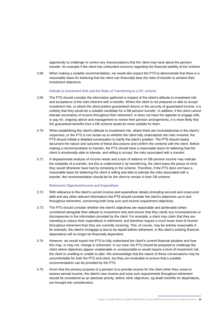opportunity to challenge or correct any misconceptions that the client may have about the pension transfer, for example if the client has unfounded concerns regarding the financial stability of the scheme.

3.68 When making a suitable recommendation, we would also expect the PTS to demonstrate that there is a reasonable basis for believing that the client can financially bear the risks of transfer to achieve their investment objectives.

#### Attitude to Investment Risk and the Risks of Transferring to a DC scheme

- 3.69 The PTS should consider the information gathered in respect of the client's attitude to investment risk and acceptance of the risks inherent with a transfer. Where the client is not prepared or able to accept investment risk, or where the client prefers guaranteed returns or the security of guaranteed income, it is unlikely that they would be a suitable candidate for a DB pension transfer. In addition, if the client cannot tolerate uncertainty of income throughout their retirement, or does not have the appetite to engage with, or pay for, ongoing advice and management to review their pension arrangements, it is more likely that the guaranteed benefits from a DB scheme would be more suitable for them.
- 3.70 When establishing the client's attitude to investment risk, where there are inconsistencies in the client's responses, or the PTS is not certain as to whether the client fully understands the risks involved, the PTS should initiate a detailed conversation to clarify the client's position. The PTS should clearly document the nature and outcome of these discussions and confirm the contents with the client. Before making a recommendation to transfer, the PTS should have a reasonable basis for believing that the client is emotionally able to tolerate, and willing to accept, the risks associated with a transfer.
- 3.71 A dispassionate analysis of income needs and a lack of reliance on DB pension income may indicate the suitability of a transfer, but this is undermined if, by transferring, the client loses the peace of mind they would otherwise have had by remaining in the scheme. Therefore, if the PTS does not have a reasonable basis for believing the client is willing and able to tolerate the risks associated with a transfer, the recommendation should be for the client to remain in their DB scheme.

#### Retirement Objectives/Income and Expenditure

- 3.72 With reference to the client's current income and expenditure details (including secured and unsecured debt and any other relevant information) the PTS should consider the client's objectives up to and throughout retirement, concerning both lump sum and income requirement objectives.
- 3.73 The PTS should consider whether the client's objectives are reasonable and achievable (when considered alongside their attitude to investment risk) and ensure that they clarify any inconsistencies or discrepancies in the information provided by the client. For example, a client may claim that they are intending to reduce their expenditure in retirement, and therefore require a much lower level of income throughout retirement than they are currently receiving. This, of course, may be entirely reasonable if, for example, the client's mortgage is due to be repaid before retirement, or the client's existing financial dependants will no longer be financially dependent.
- 3.74 However, we would expect the PTS to fully understand the client's current financial situation and how this may, or may not, change in retirement. In our view, the PTS should be prepared to challenge the client where objectives appear unattainable or unreasonable or would require a level of investment risk the client is unwilling or unable to take. We acknowledge that the nature of these conversations may be uncomfortable for both the PTS and client, but they are invaluable to ensure that a suitable recommendation can be provided by the PTS.
- 3.75 Given that the primary purpose of a pension is to provide income for the client when they cease to receive earned income, the client's own income and lump sum requirements throughout retirement should be considered as an absolute priority, before other objectives, eg death benefits for dependants, are brought into consideration.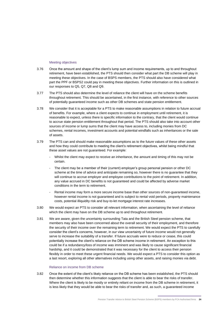#### Meeting objectives

- 3.76 Once the amount and shape of the client's lump sum and income requirements, up to and throughout retirement, have been established, the PTS should then consider what part the DB scheme will play in meeting these objectives. In the case of BSPS members, the PTS should also have considered what part the PPF or BSPS2 could pay in meeting these objectives. Further information on this is outlined in our responses to Q5, Q7, Q8 and Q9.
- 3.77 The PTS should also determine the level of reliance the client will have on the scheme benefits throughout retirement. This should be ascertained, in the first instance, with reference to other sources of potentially guaranteed income such as other DB schemes and state pension entitlement.
- 3.78 We consider that it is acceptable for a PTS to make reasonable assumptions in relation to future accrual of benefits. For example, where a client expects to continue in employment until retirement, it is reasonable to expect, unless there is specific information to the contrary, that the client would continue to accrue state pension entitlement throughout that period. The PTS should also take into account other sources of income or lump sums that the client may have access to, including monies from DC schemes, rental incomes, investment accounts and potential windfalls such as inheritances or the sale of assets.
- 3.79 The PTS can and should make reasonable assumptions as to the future values of these other assets and how they could contribute to meeting the client's retirement objectives, whilst being mindful that these asset values are not guaranteed. For example:
	- Whilst the client may expect to receive an inheritance, the amount and timing of this may not be certain.
	- The client may be a member of their (current) employer's group personal pension or other DC scheme at the time of advice and anticipate remaining so, however there is no guarantee that they will continue to accrue employer and employee contributions to the point of retirement. In addition, any value accrued in DC benefits is not guaranteed and could be affected by adverse market conditions in the term to retirement.
	- Rental income may form a more secure income base than other sources of non-guaranteed income, however rental income is not guaranteed and is subject to rental void periods, property maintenance costs, potential illiquidity risk and buy-to-let mortgage interest rate increases.
- 3.80 We would expect an PTS to consider all relevant information, when ascertaining the level of reliance which the client may have on the DB scheme up to and throughout retirement.
- 3.81 We are aware, given the uncertainty surrounding Tata and the British Steel pension scheme, that members may also have been concerned about the overall security of their employment, and therefore the security of their income over the remaining term to retirement. We would expect the PTS to carefully consider the client's concerns, however, in our view uncertainty of future income would not generally serve to increase the suitability of a transfer. If future accruals were to reduce or cease, this could potentially increase the client's reliance on the DB scheme income in retirement. An exception to this could be if a redundancy/loss of income was imminent and was likely to cause significant financial hardship, and it could be demonstrated that it was necessary for the client to access their pension flexibly in order to meet these urgent financial needs. We would expect a PTS to consider this option as a last resort, exploring all other alternatives including using other assets, and raising monies via debt.

#### Reliance on income from DB scheme

3.82 Once the extent of the client's likely reliance on the DB scheme has been established, the PTS should then determine whether this information suggests that the client is able to bear the risks of transfer. Where the client is likely to be mostly or entirely reliant on income from the DB scheme in retirement, it is less likely that they would be able to bear the risks of transfer and, as such, a guaranteed income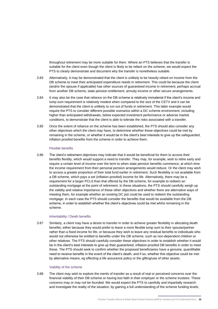throughout retirement may be more suitable for them. Where an PTS believes that the transfer is suitable for the client even though the client is likely to be reliant on the scheme, we would expect the PTS to clearly demonstrate and document why the transfer is nonetheless suitable.

- 3.83 Alternatively, it may be demonstrated that the client is unlikely to be heavily reliant on income from the DB scheme to meet their anticipated expenditure needs in retirement. This could be because the client (and/or the spouse if applicable) has other sources of guaranteed income in retirement, perhaps accrual from another DB scheme, state pension entitlement, annuity income or other secure arrangements.
- 3.84 It may also be the case that reliance on the DB scheme is relatively immaterial if the client's income and lump sum requirement is relatively modest when compared to the size of the CETV and it can be demonstrated that the client is unlikely to run out of funds in retirement. This latter example would require the PTS to consider different possible scenarios within a DC scheme environment, including higher than anticipated withdrawals, below expected investment performance or adverse market conditions, to demonstrate that the client is able to tolerate the risks associated with a transfer.
- 3.85 Once the extent of reliance on the scheme has been established, the PTS should also consider any other objectives which the client may have, to determine whether these objectives could be met by remaining in the scheme, or whether it would be in the client's best interests to give up the safeguarded, inflation proofed benefits from the scheme in order to achieve them.

#### Flexible benefits

3.86 The client's retirement objectives may indicate that it would be beneficial for them to access their benefits flexibly, which would support a need to transfer. They may, for example, wish to retire early and require a certain level of income over the term to when state pension benefits commence, at which time the income requirement from their personal pension arrangements would reduce. Or the client may wish to access a greater proportion of their total fund earlier in retirement. Such flexibility is not available from a DB scheme, which pays a set (inflation-proofed) income for life. Alternatively, there may be a requirement for a larger PCLS than that offered by the DB scheme, for example to redeem an outstanding mortgage at the point of retirement. In these situations, the PTS should carefully weigh up the validity and relative importance of these other objectives and whether there are alternative ways of meeting them, for example whether an existing DC pot could be used to redeem the outstanding mortgage. In each case the PTS should consider the benefits that would be available from the DB scheme, in order to establish whether the client's objectives could be met whilst remaining in the scheme.

#### Inheritability / Death benefits

3.87 Similarly, a client may have a desire to transfer in order to achieve greater flexibility in allocating death benefits; either because they would prefer to leave a more flexible lump sum to their spouse/partner rather than a fixed income for life, or because they wish to leave any residual benefits to individuals who would not otherwise be entitled to benefits under the DB scheme, such as non-dependent children or other relatives. The PTS should carefully consider these objectives in order to establish whether it would be in the client's best interests to give up their guaranteed, inflation-proofed DB benefits in order to meet these. The PTS should seek to confirm whether the proposed beneficiaries have a genuine, quantifiable need to receive benefits in the event of the client's death, and if so, whether this objective could be met by alternative means, eg effecting a life assurance policy or the gifting/use of other assets.

#### Viability of the scheme

3.88 The client may wish to explore the merits of transfer as a result of real or perceived concerns over the financial viability of their DB scheme or having lost faith in their employer or the scheme trustees. These concerns may or may not be founded. We would expect the PTS to carefully and impartially research and investigate the reality of the situation, by gaining a full understanding of the scheme funding levels,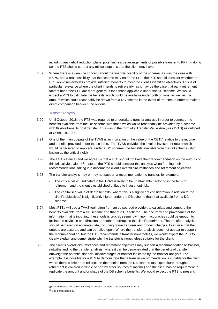including any deficit reduction plans, potential rescue arrangements or possible transfer to PPF. In doing so, the PTS should correct any misconceptions that the client may have.

3.89 Where there is a genuine concern about the financial viability of the scheme, as was the case with BSPS, and a real possibility that the scheme may enter the PPF, the PTS should consider whether the PPF would nevertheless provide sufficient benefits to meet the client's identified objectives. This is of particular relevance where the client intends to retire early, as it may be the case that early retirement factors under the PPF are more generous than those applicable under the DB scheme. We would expect a PTS to calculate the benefits which could be available under both options, as well as the amount which could reasonably be drawn from a DC scheme in the event of transfer, in order to make a direct comparison between the options.

#### Transfer Analysis

- 3.90 Until October 2018, the PTS was required to undertake a transfer analysis in order to compare the benefits available from the DB scheme with those which would reasonably be provided by a scheme with flexible benefits post transfer. This was in the form of a Transfer Value Analysis (TVAS) as outlined at COBS 19.1.2R.
- 3.91 One of the main outputs of the TVAS is an indication of the value of the CETV relative to the income and benefits provided under the scheme. The TVAS provides the level of investment return which would be required to replicate, under a DC scheme, the benefits available from the DB scheme (also known as the critical yield).
- 3.92 The FCA's stance (and we agree) is that a PTS should not base their recommendation on the outputs of this critical yield alone<sup>12</sup>. Instead, the PTS should consider this analysis when forming their recommendations, taking into account the client's overall circumstances and retirement objectives.
- 3.93 The transfer analysis may or may not support a recommendation to transfer, for example:
	- The critical yield<sup>13</sup> indicated in the TVAS is likely to be unattainable, factoring in the term to retirement and the client's established attitude to investment risk.
	- The capitalised value of death benefits (where this is a significant consideration in relation to the client's objectives) is significantly higher under the DB scheme than that available from a DC scheme.
- 3.94 Most PTSs will use a TVAS tool, often from an outsourced provider, to calculate and compare the benefits available from a DB scheme and that of a DC scheme. The accuracy and provenance of the information that is input into these tools is crucial; seemingly minor inaccuracies could be enough to incline the advice in one direction or another, perhaps to the client's detriment. The transfer analysis should be based on accurate data, including correct adviser and product charges, to ensure that the outputs are accurate and can be relied upon. Where the transfer analysis does not appear to support the recommendation, but the PTS recommends a transfer nonetheless, we would expect the PTS to clearly explain and demonstrate why the transfer is nonetheless suitable for the client.
- 3.95 The client's overall circumstances and retirement objectives may support a recommendation to transfer, notwithstanding the transfer analysis, where it can be demonstrated that the benefits of transfer outweigh the potential financial disadvantages of transfer indicated by the transfer analysis. For example, it is possible for a PTS to demonstrate that a transfer recommendation is suitable for the client where there is little or no reliance on the monies from the DB scheme (as expenditure throughout retirement is covered in whole or part by other sources of income) and the client has no requirement to replicate the amount and/or shape of the DB scheme benefits. We would expect the PTS to present,

<sup>12</sup>FCA Newsletter 24/01/201[7 Advising on pension transfers –](https://www.fca.org.uk/news/news-stories/advising-pension-transfers-our-expectations) our expectations | FCA

<sup>13</sup> See paragraph 3.42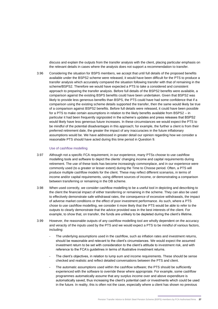discuss and explain the outputs from the transfer analysis with the client, placing particular emphasis on the relevant details in cases where the analysis does not support a recommendation to transfer.

3.96 Considering the situation for BSPS members, we accept that until full details of the proposed benefits available under the BSPS2 scheme were released, it would have been difficult for the PTS to produce a transfer analysis which accurately compared the situation following transfer with that of remaining in the scheme/BSPS2. Therefore we would have expected a PTS to take a considered and consistent approach to preparing the transfer analysis. Before full details of the BSPS2 benefits were available, a comparison against the existing BSPS benefits could have been undertaken. Given that BSPS2 was likely to provide less generous benefits than BSPS, the PTS could have had some confidence that if a comparison using the existing scheme details supported the transfer, then the same would likely be true of a comparison against BSPS2 benefits. Before full details were released, it could have been possible for a PTS to make certain assumptions in relation to the likely benefits available from BSPS2 – in particular it had been frequently signposted in the scheme's updates and press releases that BSPS2 would likely have less generous future increases. In these circumstances we would expect the PTS to be mindful of the potential disadvantages in this approach; for example, the further a client is from their preferred retirement date, the greater the impact of any inaccuracies in the future inflationary assumptions would be. We have addressed in greater detail our opinion regarding how we consider a reasonable PTS should have acted during this time period in Question 9.

#### Use of cashflow modelling

- 3.97 Although not a specific FCA requirement, in our experience, many PTSs choose to use cashflow modelling tools and software to depict the clients' changing income and capital requirements during retirement. The use of these tools has become increasingly commonplace, and in our experience were commonly used (to a greater or lesser extent) during the Time to Choose period. Often, a PTS will produce multiple cashflow models for the client. These may reflect different scenarios, in terms of income and/or capital requirements, using different sources of income, or demonstrating a comparison between transferring or remaining in the DB scheme.
- 3.98 When used correctly, we consider cashflow modelling to be a useful tool in depicting and describing to the client the financial impact of either transferring or remaining in the scheme. They can also be used to effectively demonstrate safe withdrawal rates, the consequence of excessive withdrawals, the impact of adverse market conditions or the effect of poor investment performance. As such, where a PTS chose to use cashflow modelling, we consider it more likely that the PTS would be able to refer to the outputs to clearly demonstrate that the advice provided was in the best interests of the client. For example, to show that, on transfer, the funds are unlikely to be depleted during the client's lifetime.
- 3.99 However, the reasonable outputs of any cashflow modelling tool are wholly dependent on the accuracy and veracity of the inputs used by the PTS and we would expect a PTS to be mindful of various factors, including:
	- The underlying assumptions used in the cashflow, such as inflation rates and investment returns, should be reasonable and relevant to the client's circumstances. We would expect the assumed investment return to be set with consideration to the client's attitude to investment risk, and with reference to the FCA's guidelines in terms of illustrative investment returns.
	- The client's objectives, in relation to lump sum and income requirements. These should be sense checked and realistic and reflect detailed conversations between the PTS and client.
	- The automatic assumptions used within the cashflow software; the PTS should be sufficiently experienced with the software to override these where appropriate. For example, some cashflow programmes automatically assume that any surplus income over and above expenditure is automatically saved, thus increasing the client's potential cash or investments which could be used in the future. In reality, this is often not the case, especially where a client has shown no previous

Pension Transfer Advice to British Steel Pension Scheme (BSPS) members by FCA Authorised firms **27**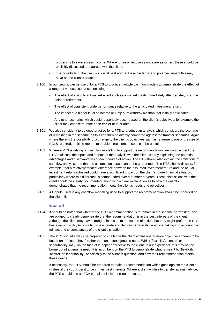propensity to save excess income. Where future or regular savings are assumed, these should be explicitly discussed and agreed with the client.

- The possibility of the client's survival past normal life expectancy and potential impact this may have on the client's situation.
- 3.100 In our view, it can be useful for a PTS to produce multiple cashflow models to demonstrate the effect of a range of various scenarios, including:
	- The effect of a significant market event such as a market crash immediately after transfer, or at the point of retirement.
	- The effect of consistent underperformance relative to the anticipated investment return.
	- The impact of a higher level of income or lump sum withdrawals than that initially anticipated.
	- Any other scenarios which could reasonably occur based on the client's objectives; for example the client may choose to retire at an earlier or later date.
- 3.101 We also consider it to be good practice for a PTS to produce an analysis which considers the scenario of remaining in the scheme, as this can then be directly compared against the transfer scenarios. Again, where there is the possibility of a change to the client's objectives such as retirement age or the size of PCLS required, multiple reports to enable direct comparisons can be useful.
- 3.102 Where a PTS is relying on cashflow modelling to support the recommendation, we would expect the PTS to discuss the inputs and outputs of the analysis with the client, clearly explaining the potential advantages and disadvantages of each course of action. The PTS should also explain the limitations of cashflow analysis, and that the assumptions used cannot be guaranteed. The PTS should discuss, for example, that a relatively modest difference between the assumed investment return and the actual investment return achieved could have a significant impact on the client's future financial situation, particularly where this difference is compounded over a number of years. These discussions with the client should be clearly documented, along with a clear explanation as to how the cashflow demonstrates that the recommendation meets the client's needs and objectives.
- 3.103 All inputs used in any cashflow modelling used to support the recommendation should be recorded on the client file.

#### In general

- 3.104 It should be noted that whether the PTS' recommendation is to remain in the scheme or transfer, they are obliged to clearly demonstrate that the recommendation is in the best interests of the client. Although the client may have strong opinions as to the course of action that they might prefer, the PTS has a responsibility to provide dispassionate and demonstrably suitable advice, taking into account the full fact and circumstances of the client's situation.
- 3.105 The PTS should always be prepared to challenge the client where one or more objective appears to be based on a "nice to have" rather than an actual, genuine need. Whilst 'flexibility', 'control' or 'inheritability' may, on the face of it, appear attractive to the client, in our experience this may not be borne out of a genuine need. It is incumbent on the PTS to demonstrate what is meant by 'flexibility', 'control' or 'inheritability', specifically to the client in question, and how their recommendation meets these needs.

If necessary, the PTS should be prepared to make a recommendation which goes against the client's wishes, if they consider it to be in their best interests. Where a client wishes to transfer against advice, the PTS should use an FCA compliant insistent client process.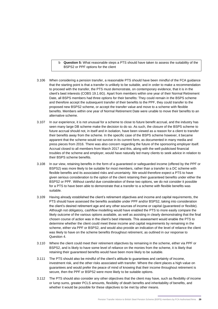b **Question 5:** What reasonable steps a PTS should have taken to assess the suitability of the BSPS2 or PPF options for the client

- 3.106 When considering a pension transfer, a reasonable PTS should have been mindful of the FCA guidance that the starting point is that a transfer is unlikely to be suitable, and in order to make a recommendation to proceed with the transfer, the PTS must demonstrate, on contemporary evidence, that it is in the client's best interests (COBS 19.1.6G). Apart from members within one year of their Normal Retirement Date, all BSPS members had three options for their benefits: They could remain in the BSPS scheme and therefore accept the subsequent transfer of their benefits to the PPF, they could transfer to the proposed new BSPS2 scheme, or accept the transfer value and move to a scheme with flexible benefits. Members within one year of Normal Retirement Date were unable to move their benefits to an alternative scheme.
- 3.107 In our experience, it is not unusual for a scheme to close to future benefit accrual, and the industry has seen many large DB scheme make the decision to do so. As such, the closure of the BSPS scheme to future accrual should not, in itself and in isolation, have been viewed as a reason for a client to transfer their benefits away from the scheme. In the specific case of the BSPS scheme however, it became apparent that the scheme would not survive in its current form, as documented in many media and press pieces from 2016. There was also concern regarding the future of the sponsoring employer itself. Accrual closed to all members from March 2017 and this, along with the well-publicised financial troubles of the scheme and employer, would have naturally led many clients to seek advice in relation to their BSPS scheme benefits.
- 3.108 In our view, retaining benefits in the form of a guaranteed or safeguarded income (offered by the PPF or BSPS2) was more likely to be suitable for most members, rather than a transfer to a DC scheme with flexible benefits and its associated risks and uncertainty. We would therefore expect a PTS to have given serious consideration to the option of the client retaining their guaranteed benefits under either the BSPS2 or PPF. Without careful due consideration of these two options, we do not consider it possible for a PTS to have been able to demonstrate that a transfer to a scheme with flexible benefits was suitable.
- 3.109 Having already established the client's retirement objectives and income and capital requirements, the PTS should have assessed the benefits available under PPF and/or BSPS2, taking into consideration the client's desired retirement age and any other sources of income or capital (guaranteed or flexible). Although not obligatory, cashflow modelling would have enabled the PTS to more easily compare the likely outcome of the various options available, as well as assisting in clearly demonstrating that the final chosen course of action was in the client's best interests. This assessment would enable the PTS to determine whether the client could meet these income and capital requirements by remaining in the scheme, either via PPF or BSPS2, and would also provide an indication of the level of reliance the client was likely to have on the scheme benefits throughout retirement, as outlined in our response to Question 4.
- 3.110 Where the client could meet their retirement objectives by remaining in the scheme, either via PPF or BSPS2, and is likely to have some level of reliance on the monies from the scheme, it is likely that retaining their guaranteed benefits would have been more likely to be suitable.
- 3.111 The PTS should also be mindful of the client's attitude to guarantees and certainty of income, investment risk, and the other risks associated with transfer. Where the client places a high value on guarantees and would prefer the peace of mind of knowing that their income throughout retirement is secure, then the PPF or BSPS2 were more likely to be suitable options.
- 3.112 The PTS should also consider any other objectives that the client may have, such as flexibility of income or lump sums, greater PCLS amounts, flexibility of death benefits and inheritability of benefits, and whether it would be possible for these objectives to be met by other means.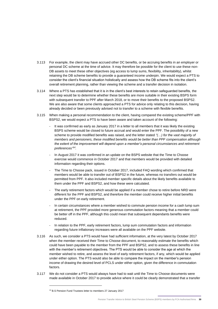- 3.113 For example, the client may have accrued other DC benefits, or be accruing benefits in an employer or personal DC scheme at the time of advice. It may therefore be possible for the client to use these non-DB assets to meet these other objectives (eg access to lump sums, flexibility, inheritability), whilst retaining the DB scheme benefits to provide a guaranteed income underpin. We would expect a PTS to consider the client's financial situation holistically and assess how the DB scheme fits into the client's overall retirement planning, rather than viewing the scheme and a transfer decision in isolation.
- 3.114 Where a PTS has established that it is in the client's best interests to retain safeguarded benefits, the next step would be to determine whether these benefits are more suitable in their existing BSPS form with subsequent transfer to PPF after March 2018, or to move their benefits to the proposed BSPS2. We are also aware that some clients approached a PTS for advice only relating to this decision, having already decided or been previously advised not to transfer to a scheme with flexible benefits.
- 3.115 When making a personal recommendation to the client, having compared the existing scheme/PPF with BSPS2, we would expect a PTS to have been aware and taken account of the following:
	- It was confirmed as early as January 2017 in a letter to all members that it was likely the existing BSPS scheme would be closed to future accrual and would enter the PPF. The possibility of a new scheme to provide modified benefits was raised, and the letter stated *"(…) for the vast majority of members and pensioners, these modified benefits would be better than PPF compensation although the extent of the improvement will depend upon a member's personal circumstances and retirement preferences" 14 .*
	- In August 2017 it was confirmed in an update on the BSPS website that the Time to Choose exercise would commence in October 2017 and that members would be provided with detailed information regarding their options.
	- The Time to Choose pack, issued in October 2017, included FAQ wording which confirmed that members would be able to transfer out of BSPS2 in the future, whereas no transfers out would be permitted from PPF. It also included member specific details about the likely benefits available to them under the PPF and BSPS2, and how these were calculated.
	- The early retirement factors which would be applied if a member chose to retire before NRD were different for the PPF and BSPS2, and therefore the member could receive higher initial benefits under the PPF on early retirement.
	- In certain circumstances where a member wished to commute pension income for a cash lump sum at retirement, the PPF provided more generous commutation factors meaning that a member could be better off in the PPF, although this could mean that subsequent dependants benefits were reduced.
	- In relation to the PPF, early retirement factors, lump sum commutation factors and information regarding future inflationary increases were all available on the PPF website.
- 3.116 As such, we consider a PTS would have had sufficient information, at the very latest by October 2017 when the member received their Time to Choose document, to reasonably estimate the benefits which could have been payable to the member from the PPF and BSPS2, and to assess these benefits in line with the member's retirement objectives. The PTS would be able to consider the age at which the member wished to retire, and assess the level of early retirement factors, if any, which would be applied under either option. The PTS would also be able to compare the impact on the member's pension income of drawing the desired level of PCLS under either option, given the difference in commutation factors.
- 3.117 We do not consider a PTS would always have had to wait until the Time to Choose documents were made available in October 2017 to provide advice where it could be clearly demonstrated that a transfer

<sup>14</sup> B.S Pension Fund Trustees letter to members 27 January 2017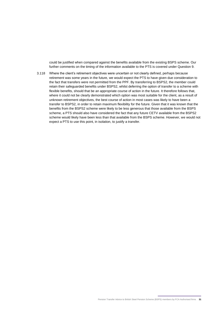could be justified when compared against the benefits available from the existing BSPS scheme. Our further comments on the timing of the information available to the PTS is covered under Question 9.

3.118 Where the client's retirement objectives were uncertain or not clearly defined, perhaps because retirement was some years in the future, we would expect the PTS to have given due consideration to the fact that transfers were not permitted from the PPF. By transferring to BSPS2, the member could retain their safeguarded benefits under BSPS2, whilst deferring the option of transfer to a scheme with flexible benefits, should that be an appropriate course of action in the future. It therefore follows that, where it could not be clearly demonstrated which option was most suitable for the client, as a result of unknown retirement objectives, the best course of action in most cases was likely to have been a transfer to BSPS2, in order to retain maximum flexibility for the future. Given that it was known that the benefits from the BSPS2 scheme were likely to be less generous that those available from the BSPS scheme, a PTS should also have considered the fact that any future CETV available from the BSPS2 scheme would likely have been less than that available from the BSPS scheme. However, we would not expect a PTS to use this point, in isolation, to justify a transfer.

Pension Transfer Advice to British Steel Pension Scheme (BSPS) members by FCA Authorised firms **31**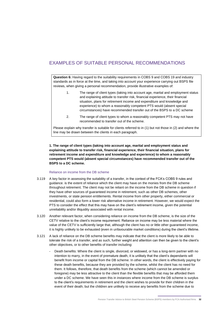# EXAMPLES OF SUITABLE PERSONAL RECOMMENDATIONS

**Question 6:** Having regard to the suitability requirements in COBS 9 and COBS 19 and industry standards as in force at the time, and taking into account your experience carrying out BSPS file reviews, when giving a personal recommendation, provide illustrative examples of:

- 1. The range of client types (taking into account age, marital and employment status and explaining attitude to transfer risk, financial experience, their financial situation, plans for retirement income and expenditure and knowledge and experience) to whom a reasonably competent PTS would (absent special circumstances) have recommended transfer out of the BSPS to a DC scheme
- 2. The range of client types to whom a reasonably competent PTS may not have recommended to transfer out of the scheme.

Please explain why transfer is suitable for clients referred to in (1) but not those in (2) and where the line may be drawn between the clients in each paragraph.

**1. The range of client types (taking into account age, marital and employment status and explaining attitude to transfer risk, financial experience, their financial situation, plans for retirement income and expenditure and knowledge and experience) to whom a reasonably competent PTS would (absent special circumstances) have recommended transfer out of the BSPS to a DC scheme.**

#### Reliance on income from the DB scheme

- 3.119 A key factor in assessing the suitability of a transfer, in the context of the FCA's COBS 9 rules and guidance. is the extent of reliance which the client may have on the monies from the DB scheme throughout retirement. The client may not be reliant on the income from the DB scheme in question if they have other sources of guaranteed income in retirement, such as other DB schemes, other investments, or state pension entitlements. Rental income from other property, either commercial or residential, could also form a lower risk alternative income in retirement. However, we would expect the PTS to consider the effect that this may have on the client's retirement income, given the potential unreliability and/or illiquidity associated with rental income.
- 3.120 Another relevant factor, when considering reliance on income from the DB scheme, is the size of the CETV relative to the client's income requirement. Reliance on income may be less material where the value of the CETV is sufficiently large that, although the client has no or little other guaranteed income, it is highly unlikely to be exhausted (even in unfavourable market conditions) during the client's lifetime.
- 3.121 A lack of reliance on the DB scheme benefits may indicate that the client is more likely to be able to tolerate the risk of a transfer, and as such, further weight and attention can then be given to the client's other objectives, or to other benefits of transfer including:
	- Death benefits: Where the client is single, divorced, or widowed, or has a long-term partner with no intention to marry, in the event of premature death, it is unlikely that the client's dependants will benefit from income or capital from the DB scheme. In other words, the client is effectively paying for these death benefits, because they are provided by the scheme, whilst the client has no need for them. It follows, therefore, that death benefits from the scheme (which cannot be amended or foregone) may be less attractive to the client than the flexible benefits that may be afforded them under a DC scheme. We have seen this in instances where income from the DB scheme is surplus to the client's requirements in retirement and the client wishes to provide for their children in the event of their death; but the children are unlikely to receive any benefits from the scheme due to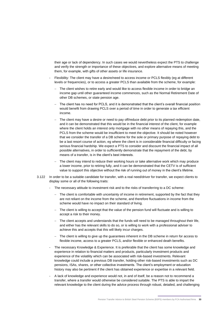their age or lack of dependency. In such cases we would nevertheless expect the PTS to challenge and verify the strength or importance of these objectives, and explore alternative means of meeting them, for example, with gifts of other assets or life insurance.

- Flexibility: The client may have a desire/need to access income or PCLS flexibly (eg at different levels or frequencies), or to access a greater PCLS than available from the scheme, for example:
	- The client wishes to retire early and would like to access flexible income in order to bridge an income gap until other guaranteed income commences, such as the Normal Retirement Date of other DB schemes, or state pension age.
	- The client has no need for PCLS, and it is demonstrated that the client's overall financial position would benefit from drawing PCLS over a period of time in order to generate a tax efficient income.
	- The client may have a desire or need to pay off/reduce debt prior to its planned redemption date, and it can be demonstrated that this would be in the financial interest of the client, for example where the client holds an interest only mortgage with no other means of repaying this, and the PCLS from the scheme would be insufficient to meet the objective. It should be noted however that we consider the transfer of a DB scheme for the sole or primary purpose of repaying debt to be a last resort course of action, eg where the client is in considerable financial difficulty or facing serious financial hardship. We expect a PTS to consider and discount the financial impact of all possible alternatives, in order to sufficiently demonstrate that the repayment of the debt, by means of a transfer, is in the client's best interests.
	- The client may intend to reduce their working hours or take alternative work which may produce a lower income, prior to retiring fully, and it can be demonstrated that the CETV is of sufficient value to support this objective without the risk of running out of money in the client's lifetime.
- 3.122 In order to be a suitable candidate for transfer, with a real need/driver for transfer, we expect clients to display some or all of the following traits:
	- The necessary attitude to investment risk and to the risks of transferring to a DC scheme:
		- − The client is comfortable with uncertainty of income in retirement, supported by the fact that they are not reliant on the income from the scheme, and therefore fluctuations in income from the scheme would have no impact on their standard of living.
		- The client is willing to accept that the value of the pension fund will fluctuate and is willing to accept a risk to their money.
		- The client accepts and understands that the funds will need to be managed throughout their life, and either has the relevant skills to do so, or is willing to work with a professional adviser to achieve this and accepts that this will likely incur charges.
		- The client is willing to give up the guarantees inherent in the DB scheme in return for access to flexible income, access to a greater PCLS, and/or flexible or enhanced death benefits.
	- The necessary Knowledge & Experience. It is preferable that the client has some knowledge and experience in relation to financial matters and products, particularly investment products and experience of the volatility which can be associated with risk-based investments. Relevant knowledge could include a previous DB transfer, holding other risk-based investments such as DC pensions, ISAs, shares, or other collective investments. The client's employment or education history may also be pertinent if the client has obtained experience or expertise in a relevant field.
	- A lack of knowledge and experience would not, in and of itself, be a reason not to recommend a transfer, where a transfer would otherwise be considered suitable. The PTS is able to impart the relevant knowledge to the client during the advice process through robust, detailed, and challenging

Pension Transfer Advice to British Steel Pension Scheme (BSPS) members by FCA Authorised firms **33**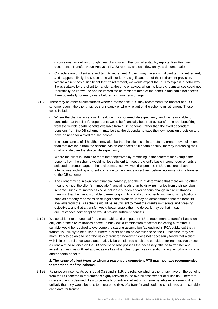discussions, as well as through clear disclosure in the form of suitability reports, Key Features documents, Transfer Value Analysis (TVAS) reports, and cashflow analysis documentation.

- Consideration of client age and term to retirement. A client may have a significant term to retirement, and it appears likely the DB scheme will not form a significant part of their retirement provision. Where a client has a significant term to retirement, we would expect the PTS to explain in detail why it was suitable for the client to transfer at the time of advice, when his future circumstances could not realistically be known, he had no immediate or imminent need of the benefits and could not access them potentially for many years before minimum pension age.
- 3.123 There may be other circumstances where a reasonable PTS may recommend the transfer of a DB scheme, even if the client may be significantly or wholly reliant on the scheme in retirement. These could include:
	- Where the client is in serious ill health with a shortened life expectancy, and it is reasonable to conclude that the client's dependants would be financially better off by transferring and benefiting from the flexible death benefits available from a DC scheme, rather than the fixed dependant pensions from the DB scheme. It may be that the dependants have their own pension provision and have no need for a fixed regular income.
	- In circumstances of ill health, it may also be that the client is able to obtain a greater level of income than that available from the scheme, via an enhanced or ill-health annuity, thereby increasing their quality of life over the shorter life expectancy.
	- Where the client is unable to meet their objectives by remaining in the scheme; for example the benefits from the scheme would not be sufficient to meet the client's basic income requirements at selected retirement age. In these circumstances we would expect the PTS to explore all other alternatives, including a potential change to the client's objectives, before recommending a transfer of the DB scheme.
	- The client may be in significant financial hardship, and the PTS determines that there are no other means to meet the client's immediate financial needs than by drawing monies from their pension scheme. Such circumstances could include a sudden and/or serious change in circumstances meaning that the client is unable to meet ongoing financial commitments with serious implications such as property repossession or legal consequences. It may be demonstrated that the benefits available from the DB scheme would be insufficient to meet the client's immediate and pressing objectives, and that a transfer would better enable them to do so. It may be that in such circumstances neither option would provide sufficient benefits.
- 3.124 We consider it to be unusual for a reasonable and competent PTS to recommend a transfer based on only one of the circumstances above. In our view, a combination of factors indicating a transfer is suitable would be required to overcome the starting assumption (as outlined in FCA guidance) that a transfer is unlikely to be suitable. Where a client has no or low reliance on the DB scheme, they are more likely to be able to bear the risks of transfer, however it does not necessarily follow that a client with little or no reliance would automatically be considered a suitable candidate for transfer. We expect a client with no reliance on the DB scheme to also possess the necessary attitude to transfer and investment risk, as outlined above, as well as other clear objectives in relation to eg flexibility of income and/or death benefits.

#### **2. The range of client types to whom a reasonably competent PTS may not have recommended to transfer out of the scheme.**

3.125 Reliance on income: As outlined at 3.82 and 3.119, the reliance which a client may have on the benefits from the DB scheme in retirement is highly relevant to the overall assessment of suitability. Therefore, where a client is deemed likely to be mostly or entirely reliant on scheme benefits in retirement, it is unlikely that they would be able to tolerate the risks of a transfer and could be considered an unsuitable candidate for transfer.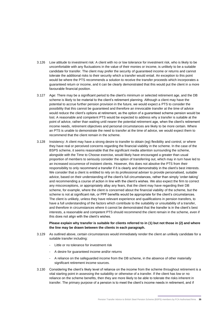- 3.126 Low attitude to investment risk: A client with no or low tolerance for investment risk, who is likely to be uncomfortable with any fluctuations in the value of their monies or income, is unlikely to be a suitable candidate for transfer. The client may prefer the security of guaranteed income or returns and cannot tolerate the additional risks to their security which a transfer would entail. An exception to this point would be where the PTS recommends a solution to receive the transfer proceeds which incorporates a guaranteed return or income, and it can be clearly demonstrated that this would put the client in a more favourable financial position.
- 3.127 Age: There may be a significant period to the client's minimum or selected retirement age, and the DB scheme is likely to be material to the client's retirement planning. Although a client may have the potential to accrue further pension provision in the future, we would expect a PTS to consider the possibility that this cannot be guaranteed and therefore an irrevocable transfer at the time of advice would reduce the client's options at retirement, as the option of a guaranteed scheme pension would be lost. A reasonable and competent PTS would be expected to address why a transfer is suitable at the point of advice, rather than waiting until nearer the potential retirement age, when the client's retirement income needs, retirement objectives and personal circumstances are likely to be more certain. Where an PTS is unable to demonstrate the need to transfer at the time of advice, we would expect them to recommend that the client remain in the scheme.
- 3.128 Insistency: A client may have a strong desire to transfer to obtain (eg) flexibility and control, or where they have real or perceived concerns regarding the financial viability in the scheme. In the case of the BSPS scheme, it seems reasonable that the significant media attention surrounding the scheme, alongside with the Time to Choose exercise, would likely have encouraged a greater than usual proportion of members to seriously consider the option of transferring out, which may in turn have led to an increased occurrence of insistent clients. However, this does not absolve the PTS from their responsibility to only recommend a transfer if it is clearly and demonstrably in the client's best interests. We consider that a client is entitled to rely on its professional adviser to provide personalised, suitable advice, based on their understanding of the client's full circumstances, rather than simply 'order-taking' and recommending a course of action in line with the client's wishes. We also expect the firm to correct any misconceptions, or appropriately allay any fears, that the client may have regarding their DB scheme, for example, where the client is concerned about the financial viability of the scheme, but the scheme is not at significant risk, or PPF benefits would be appropriate for the client's circumstances. The client is unlikely, unless they have relevant experience and qualifications in pension transfers, to have a full understanding of the factors which contribute to the suitability or unsuitability of a transfer, and therefore in circumstances where it cannot be demonstrated that the transfer is in the client's best interests, a reasonable and competent PTS should recommend the client remain in the scheme, even if this does not align with the client's wishes.

**Please explain why transfer is suitable for clients referred to in (1) but not those in (2) and where the line may be drawn between the clients in each paragraph.**

- 3.129 As outlined above, certain circumstances would immediately render the client an unlikely candidate for a suitable transfer including:
	- Little or no tolerance for investment risk
	- A desire for guaranteed income and/or returns
	- A reliance on the safeguarded income from the DB scheme, in the absence of other materially significant retirement income sources.
- 3.130 Considering the client's likely level of reliance on the income from the scheme throughout retirement is a vital starting point in assessing the suitability or otherwise of a transfer. If the client has low or no reliance on the scheme benefits, then they are more likely to be able to tolerate the risks inherent in transfer. The primary purpose of a pension is to meet the client's income needs in retirement, and if

Pension Transfer Advice to British Steel Pension Scheme (BSPS) members by FCA Authorised firms **35**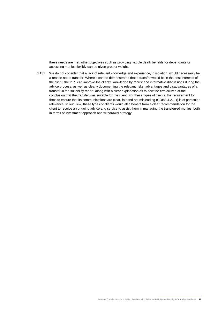these needs are met, other objectives such as providing flexible death benefits for dependants or accessing monies flexibly can be given greater weight.

3.131 We do not consider that a lack of relevant knowledge and experience, in isolation, would necessarily be a reason not to transfer. Where it can be demonstrated that a transfer would be in the best interests of the client, the PTS can improve the client's knowledge by robust and informative discussions during the advice process, as well as clearly documenting the relevant risks, advantages and disadvantages of a transfer in the suitability report, along with a clear explanation as to how the firm arrived at the conclusion that the transfer was suitable for the client. For these types of clients, the requirement for firms to ensure that its communications are clear, fair and not misleading (COBS 4.2.1R) is of particular relevance. In our view, these types of clients would also benefit from a clear recommendation for the client to receive an ongoing advice and service to assist them in managing the transferred monies, both in terms of investment approach and withdrawal strategy.

Pension Transfer Advice to British Steel Pension Scheme (BSPS) members by FCA Authorised firms **36**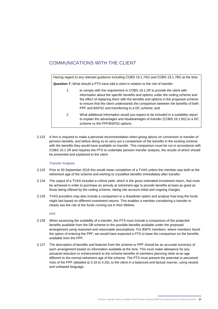# COMMUNICATIONS WITH THE CLIENT

Having regard to any relevant guidance including COBS 19.1.7AG and COBS 19.1.7BG at the time **Question 7:** What should a PTS have told a client in relation to the risk of transfer:

- 1. to comply with the requirement in COBS 19.1.2R to provide the client with information about the specific benefits and options under the ceding scheme and the effect of replacing them with the benefits and options in the proposed scheme to ensure that the client understands the comparison between the benefits of both PPF and BSPS2 and transferring to a DC scheme; and
- 2. What additional information would you expect to be included in a suitability report to explain the advantages and disadvantages of transfer (COBS 19.1.8G) to a DC scheme vs the PPF/BSPS2 options.
- 3.132 A firm is required to make a personal recommendation when giving advice on conversion or transfer of pension benefits, and before doing so to carry out a comparison of the benefits in the existing scheme with the benefits they would have available on transfer. This comparison must be run in accordance with COBS 19.1.2R and requires the PTS to undertake pension transfer analysis, the results of which should be presented and explained to the client.

#### Transfer Analysis

- 3.133 Prior to 30 September 2018 this would mean completion of a TVAS unless the member was both at the retirement age of the scheme and wishing to crystallise benefits immediately after transfer.
- 3.134 The output of a TVAS includes a critical yield, which is the gross estimated investment return, that must be achieved in order to purchase an annuity at retirement age to provide benefits at least as good as those being offered by the ceding scheme, taking into account initial and ongoing charges.
- 3.135 TVAS providers may also include a comparison to a drawdown option and analyse how long the funds might last based on different investment returns. This enables a member considering a transfer to clearly see the risk of the funds running out in their lifetime.

PPF

- 3.136 When assessing the suitability of a transfer, the PTS must include a comparison of the projected benefits available from the DB scheme to the possible benefits available under the proposed arrangement using reasoned and reasonable assumptions. For BSPS members, where members faced the option of entering the PPF, we would have expected a PTS to base the comparison on the benefits available from the PPF.
- 3.137 The description of benefits and features from the scheme or PPF should be an accurate summary of each arrangement based on information available at the time. This must make allowance for any actuarial reduction or enhancement to the scheme benefits of members planning retire at an age different to the normal retirement age of the scheme. The PTS must present the potential or perceived risks of the PPF (detailed at 3.18 to 3.20), to the client in a balanced and factual manner, using neutral and unbiased language.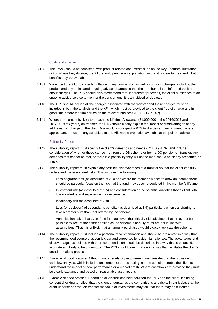#### Costs and charges

- 3.138 The TVAS should be consistent with product-related documents such as the Key Features Illustration (KFI). Where they diverge, the PTS should provide an explanation so that it is clear to the client what benefits may be available.
- 3.139 We expect the PTS to consider inflation in any comparison as well as ongoing charges, including the product and any anticipated ongoing adviser charges so that the member is in an informed position about charges. The PTS should also recommend that, if a transfer proceeds, the client subscribes to an ongoing advice service to monitor the pension until it is annuitised or depleted.
- 3.140 The PTS should include all the charges associated with the transfer and these charges must be included in both the analysis and the KFI, which must be provided to the client free of charge and in good time before the firm carries on the relevant business (COBS 14.2.14R).
- 3.141 Where the member is likely to breach the Lifetime Allowance (£1,000,000 in the 2016/2017 and 2017/2018 tax years) on transfer, the PTS should clearly explain the impact or disadvantages of any additional tax charge on the client. We would also expect a PTS to discuss and recommend, where appropriate, the use of any suitable Lifetime Allowance protection available at the point of advice.

#### Suitability Report

- 3.142 The suitability report must specify the client's demands and needs (COBS 9.4.7R) and include consideration of whether these can be met from the DB scheme or from a DC pension on transfer. Any demands that cannot be met, or there is a possibility they will not be met, should be clearly presented as a risk.
- 3.143 The suitability report must explain any possible disadvantages of a transfer so that the client can fully understand the associated risks. This includes the following:
	- Loss of guarantees (as described at [3.3\)](#page-8-1) and where the member wishes to draw an income there should be particular focus on the risk that the fund may become depleted in the member's lifetime.
	- Investment risk (as described at [3.5\)](#page-8-2) and consideration of the potential anxieties that a client with low knowledge and experience may experience.
	- Inflationary risk (as described at [3.8\)](#page-9-0).
	- Loss (or depletion) of dependants benefits (as described at [3.9\)](#page-9-1) particularly when transferring to take a greater sum than that offered by the scheme.
	- Annuitisation risk that even if the fund achieves the critical yield calculated that it may not be possible to secure the same pension as the scheme if annuity rates are not in line with assumptions. That it is unlikely that an annuity purchased would exactly replicate the scheme.
- 3.144 The suitability report must include a personal recommendation and should be presented in a way that the recommended course of action is clear and supported by evidential rationale. The advantages and disadvantages associated with the recommendation should be described in a way that is balanced, accurate and likely to be understood. The PTS should communicate in a way that facilitates the client's decision-making process.
- 3.145 Example of good practice: Although not a regulatory requirement, we consider that the provision of cashflow analysis, which includes an element of stress testing, can be useful to enable the client to understand the impact of poor performance or a market crash. Where cashflows are provided they must be clearly explained and based on reasonable assumptions.
- 3.146 Example of good practice: Recording all discussions held between the PTS and the client, including concept checking to reflect that the client understands the comparisons and risks. In particular, that the client understands that on transfer the value of investments may fall, that there may be a lifetime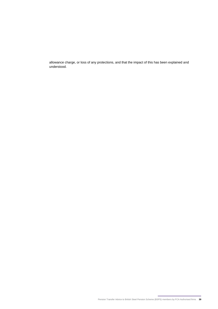allowance charge, or loss of any protections, and that the impact of this has been explained and understood.

Pension Transfer Advice to British Steel Pension Scheme (BSPS) members by FCA Authorised firms **39**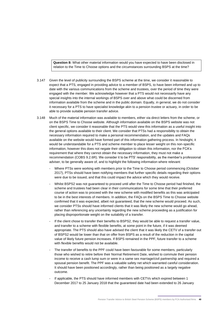**Question 8:** What other material information would you have expected to have been disclosed in relation to the Time to Choose options and the circumstances surrounding BSPS at the time?

- 3.147 Given the level of publicity surrounding the BSPS scheme at the time, we consider it reasonable to expect that a PTS, engaged in providing advice to a member of BSPS, to have been informed and up to date with the various communications from the scheme and trustees, over the period of time they were engaged with the member. We acknowledge however that a PTS would not necessarily have any special insights into the internal workings of BSPS over and above what could be discerned from information available from the scheme and in the public domain. Equally, in general, we do not consider it necessary for a PTS to have specialist knowledge akin to a pension trustee or actuary, in order to be able to provide suitable pension transfer advice.
- 3.148 Much of the material information was available to members, either via direct letters from the scheme, or on the BSPS Time to Choose website. Although information available on the BSPS website was not client specific, we consider it reasonable that the PTS would view this information as a useful insight into the general options available to their client. We consider that PTSs had a responsibility to obtain the necessary information required to make a personal recommendation, and the updates and FAQs available on the website would have formed part of this information gathering process. In hindsight, it would be understandable for a PTS and scheme member to place lesser weight on this non-specific information, however this does not negate their obligation to obtain this information, nor the FCA's requirement that where they cannot obtain the necessary information, they must not make a recommendation (COBS 9.2.6R). We consider it to be PTS' responsibility, as the member's professional adviser, to be generally aware of, and to highlight the following information where relevant:
	- Where PTSs were working with members prior to the Time to Choose period commencing (October 2017), PTSs should have been notifying members that further specific details regarding their options were due to be issued, and that this could impact the advice which they would receive.
	- Whilst BSPS2 was not guaranteed to proceed until after the Time to Choose period had finished, the scheme and trustees had been clear in their communications for some time that their preferred course of action was to proceed with the new scheme with modified benefits as this was anticipated to be in the best interests of members. In addition, the FAQs on the BSPS Time to Choose website confirmed that it was expected, albeit not guaranteed, that the new scheme would proceed. As such, we consider PTSs should have informed clients that it was likely the new scheme would go ahead, rather than referencing any uncertainty regarding the new scheme proceeding as a justification for placing disproportionate weight on the suitability of a transfer.
	- If the client chose to transfer their benefits to BSPS2, they would be able to request a transfer value, and transfer to a scheme with flexible benefits, at some point in the future, if it was deemed appropriate. The PTS should also have advised the client that it was likely the CETV of a transfer out of BSPS2 would be lower than that on offer from BSPS as a result of the reduction in the capital value of likely future pension increases. If BSPS remained in the PPF, future transfer to a scheme with flexible benefits would not be available.
	- The transfer of benefits to the PPF could have been favourable for some members, particularly those who wished to retire before their Normal Retirement Date, wished to commute their pension income to receive a cash lump sum or were in a same sex marriage/civil partnership and required a spousal pension benefit. The PPF was a valuable safety net which warranted careful consideration. It should have been positioned accordingly, rather than being positioned as a largely negative outcome.
	- If applicable, the PTS should have informed members with CETVs which expired between 1 December 2017 to 25 January 2018 that the guaranteed date had been extended to 26 January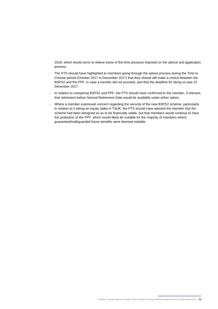2018, which would serve to relieve some of the time pressure imposed on the advice and application process.

- The PTS should have highlighted to members going through the advice process during the Time to Choose period (October 2017 to December 2017) that they should still make a choice between the BSPS2 and the PPF, in case a transfer did not proceed, and that the deadline for doing so was 22 December 2017.
- In relation to comparing BSPS2 and PPF, the PTS should have confirmed to the member, if relevant, that retirement before Normal Retirement Date would be available under either option.
- Where a member expressed concern regarding the security of the new BSPS2 scheme, particularly in relation to it taking an equity stake in TSUK, the PTS should have advised the member that the scheme had been designed so as to be financially viable, but that members would continue to have the protection of the PPF, which would likely be suitable for the majority of members where guaranteed/safeguarded future benefits were deemed suitable.

Pension Transfer Advice to British Steel Pension Scheme (BSPS) members by FCA Authorised firms **41**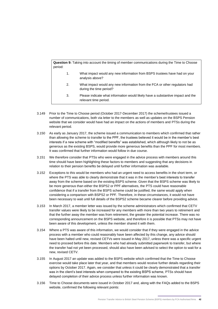**Question 9:** Taking into account the timing of member communications during the Time to Choose period: 1. What impact would any new information from BSPS trustees have had on your analysis above? 2. What impact would any new information from the FCA or other regulators had during the time period? 3. Please indicate what information would likely have a substantive impact and the relevant time period.

- 3.149 Prior to the Time to Choose period (October 2017-December 2017) the scheme/trustees issued a number of communications, both via letter to the members as well as updates on the BSPS Pension website that we consider would have had an impact on the actions of members and PTSs during the relevant period.
- 3.150 As early as January 2017, the scheme issued a communication to members which confirmed that rather than allowing the scheme to transfer to the PPF, the trustees believed it would be in the member's best interests if a new scheme with "modified benefits" was established, which although likely to not be as generous as the existing BSPS, would provide more generous benefits than the PPF for most members. It was confirmed that further information would follow in due course.
- 3.151 We therefore consider that PTSs who were engaged in the advice process with members around this time should have been highlighting these factors to members and suggesting that any decisions in relation to their pension benefits be delayed until further information was available.
- 3.152 Exceptions to this would be members who had an urgent need to access benefits in the short term, or where the PTS was able to clearly demonstrate that it was in the member's best interests to transfer away from the scheme based on the existing BSPS scheme. Given that the BSPS scheme was likely to be more generous than either the BSPS2 or PPF alternatives, the PTS could have reasonable confidence that if a transfer from the BSPS scheme could be justified, the same would apply when considering a comparison with BSPS2 or PPF. Therefore, in these circumstances, it would not have been necessary to wait until full details of the BSPS2 scheme became clearer before providing advice.
- 3.153 In March 2017, a member letter was issued by the scheme administrators which confirmed that CETV transfer values were likely to be increased for any members with more than two years to retirement and that the further away the member was from retirement, the greater the potential increase. There was no corresponding announcement on the BSPS website, and therefore it is possible that PTSs may not have been aware of this development, unless the member shared it with them.
- 3.154 Where a PTS was aware of this information, we would consider that if they were engaged in the advice process with a member who could reasonably have been affected by this change, any advice should have been halted until new, revised CETVs were issued in May 2017, unless there was a specific urgent need to proceed before this date. Members who had already submitted paperwork to transfer, but where the transfer had not yet been processed, should also have been advised to select the option to wait for a new, revised CETV.
- 3.155 In August 2017 an update was added to the BSPS website which confirmed that the Time to Choose exercise would take place later that year, and that members would receive further details regarding their options by October 2017. Again, we consider that unless it could be clearly demonstrated that a transfer was in the client's best interests when compared to the existing BSPS scheme, PTSs should have delayed completion of their advice process unless further information was known.
- 3.156 Time to Choose documents were issued in October 2017 and, along with the FAQs added to the BSPS website, confirmed the following relevant points: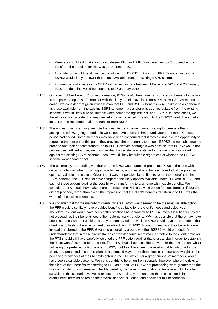- Members should still make a choice between PPF and BSPS2 in case they don't proceed with a transfer – the deadline for this was 22 December 2017.
- A transfer out would be allowed in the future from BSPS2, but not from PPF. Transfer values from BSPS2 would likely be lower than those available from the existing BSPS scheme.
- For members who received a CETV with an expiry date between 1 December 2017 and 25 January 2018, the deadline would be extended to 26 January 2018.
- 3.157 On receipt of the Time to Choose information, PTSs would then have had sufficient scheme information to compare the options of a transfer with the likely benefits available from PPF or BSPS2. As mentioned earlier, we consider that given it was known that PPF and BSPS2 benefits were unlikely be as generous as those available from the existing BSPS scheme, if a transfer was deemed suitable from the existing scheme, it would likely also be suitable when compared against PPF and BSPS2. In these cases, we therefore do not consider that any new information received in relation to the BSPS2 would have had an impact on the recommendation to transfer from BSPS.
- 3.158 The above notwithstanding, we note that despite the scheme communicating to members that it anticipated BSPS2 going ahead, this would not have been confirmed until after the Time to Choose period had ended. Some members may have been concerned that if they did not take the opportunity to request a transfer out at this point, they may lose the opportunity to do so if BSPS2 did not subsequently proceed and their benefits transferred to PPF. However, although it was possible that BSPS2 would not proceed, as outlined above, we consider that if a transfer was suitable for the member, calculated against the existing BSPS scheme, then it would likely be suitable regardless of whether the BSPS2 scheme went ahead or not.
- 3.159 The uncertainty surrounding whether or not BSPS2 would proceed presented PTSs at the time with certain challenges when providing advice to clients, and they should have explored all of the potential options available to the client. Given that it was not possible for a client to retain their benefits in the BSPS scheme, the PTS should have compared the likely options available under PPF with BSPS2, and each of these options against the possibility of transferring to a scheme with flexible benefits. We consider a PTS should have taken care to present the PPF as a valid option for consideration if BSPS2 did not proceed, rather than giving the impression that the client's benefits transferring to PPF was the worst of all possible scenarios.
- 3.160 We consider that for the majority of clients, where BSPS2 was deemed to be the most suitable option, the PPF would also likely have provided benefits suitable for the client's needs and objectives. Therefore, a client would have been better off choosing to transfer to BSPS2, even if it subsequently did not proceed, as their benefits would then automatically transfer to PPF. It's possible that there may have been scenarios where it could be clearly demonstrated that whilst BSPS2 could have been suitable, the client was unlikely to be able to meet their objectives if BSPS2 did not proceed and their benefits were instead transferred to the PPF. Given the uncertainty around whether BSPS2 would proceed, it's understandable that in these circumstances a transfer could seem more attractive to the client, however the PTS should still have carefully weighed the PPF option against that of a transfer in order to establish the "least worst" scenario for the client. The PTS should have considered whether the PPF option, whilst not being the preferred outcome over BSPS2, could still have been the most suitable outcome for the client, and presented this to the client in a balanced way, rather than placing unnecessary weight on the perceived drawbacks of their benefits entering the PPF which, for a great number of members, would have been a suitable outcome. We consider this to be an unlikely scenario, however where the risks to the client of their benefits transferring to PPF as a result of BSPS2 not proceeding were greater than the risks of transfer to a scheme with flexible benefits, then a recommendation to transfer would likely be suitable. In this scenario, we would expect a PTS to clearly demonstrate that the transfer is in the client's best interests based on their overall financial situation, and document this accordingly.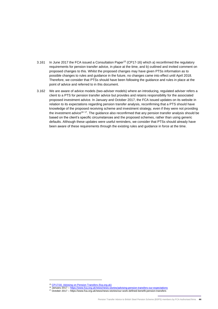- 3.161 In June 2017 the FCA issued a Consultation Paper<sup>15</sup> (CP17-16) which a) reconfirmed the regulatory requirements for pension transfer advice, in place at the time, and b) outlined and invited comment on proposed changes to this. Whilst the proposed changes may have given PTSs information as to possible changes to rules and guidance in the future, no changes came into effect until April 2018. Therefore, we consider that PTSs should have been following the guidance and rules in place at the point of advice and referred to in this document.
- 3.162 We are aware of advice models (two-adviser models) where an introducing, regulated adviser refers a client to a PTS for pension transfer advice but provides and retains responsibility for the associated proposed investment advice. In January and October 2017, the FCA issued updates on its website in relation to its expectations regarding pension transfer analysis, reconfirming that a PTS should have knowledge of the proposed receiving scheme and investment strategy, even if they were not providing the investment advice<sup>16 17</sup>. The guidance also reconfirmed that any pension transfer analysis should be based on the client's specific circumstances and the proposed schemes, rather than using generic defaults. Although these updates were useful reminders, we consider that PTSs should already have been aware of these requirements through the existing rules and guidance in force at the time.

<sup>&</sup>lt;sup>15</sup> [CP17/16: Advising on Pension Transfers \(fca.org.uk\)](https://www.fca.org.uk/publication/consultation/cp17-16.pdf)

<sup>&</sup>lt;sup>16</sup> January 2017 – <https://www.fca.org.uk/news/news-stories/advising-pension-transfers-our-expectations>

<sup>17</sup> October 2017 – https://www.fca.org.uk/news/news-stories/our-work-defined-benefit-pension-transfers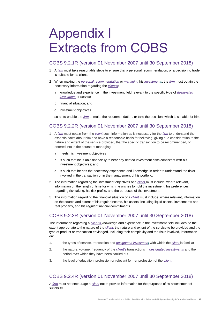# <span id="page-44-0"></span>Appendix I Extracts from COBS

### COBS 9.2.1R (version 01 November 2007 until 30 September 2018)

- 1 A *firm* must take reasonable steps to ensure that a personal recommendation, or a decision to trade, is suitable for its client.
- 2 When making the *personal recommendation* or *managing* his *investments*, the *firm* must obtain the necessary information regarding the *client's*:
	- a knowledge and experience in the investment field relevant to the specific type of *designated investment* or service
	- b financial situation; and
	- c investment objectives

so as to enable the *firm* to make the recommendation, or take the decision, which is suitable for him.

## COBS 9.2.2R (version 01 November 2007 until 30 September 2018)

- 1 A *[firm](https://www.handbook.fca.org.uk/handbook/glossary/G430.html)* must obtain from the *[client](https://www.handbook.fca.org.uk/handbook/glossary/G156.html)* such information as is necessary for the *[firm](https://www.handbook.fca.org.uk/handbook/glossary/G430.html)* to understand the essential facts about him and have a reasonable basis for believing, giving due consideration to the nature and extent of the service provided, that the specific transaction to be recommended, or entered into in the course of managing:
	- a meets his investment objectives
	- b is such that he is able financially to bear any related investment risks consistent with his investment objectives; and
	- c is such that he has the necessary experience and knowledge in order to understand the risks involved in the transaction or in the management of his portfolio.
- 2 The information regarding the investment objectives of a *[client](https://www.handbook.fca.org.uk/handbook/glossary/G156.html)* must include, where relevant, information on the length of time for which he wishes to hold the investment, his preferences regarding risk taking, his risk profile, and the purposes of the investment.
- 3 The information regarding the financial situation of a *[client](https://www.handbook.fca.org.uk/handbook/glossary/G156.html)* must include, where relevant, information on the source and extent of his regular income, his assets, including liquid assets, investments and real property, and his regular financial commitments.

# COBS 9.2.3R (version 01 November 2007 until 30 September 2018)

The information regarding a *[client's](https://www.handbook.fca.org.uk/handbook/glossary/G156.html)* knowledge and experience in the investment field includes, to the extent appropriate to the nature of the *[client,](https://www.handbook.fca.org.uk/handbook/glossary/G156.html)* the nature and extent of the service to be provided and the type of product or transaction envisaged, including their complexity and the risks involved, information on:

- 1. the types of service, transaction and *designated investment* with which the *[client](https://www.handbook.fca.org.uk/handbook/glossary/G156.html)* is familiar
- 2. the nature, volume, frequency of the *[client's](https://www.handbook.fca.org.uk/handbook/glossary/G156.html)* transactions in *designated [investments](https://www.handbook.fca.org.uk/handbook/glossary/G282.html)* and the period over which they have been carried out
- 3. the level of education, profession or relevant former profession of the *[client.](https://www.handbook.fca.org.uk/handbook/glossary/G156.html)*

# COBS 9.2.4R (version 01 November 2007 until 30 September 2018)

A *[firm](https://www.handbook.fca.org.uk/handbook/glossary/G430.html)* must not encourage a *[client](https://www.handbook.fca.org.uk/handbook/glossary/G156.html)* not to provide information for the purposes of its assessment of suitability.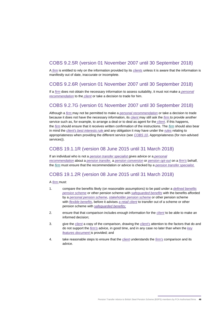## COBS 9.2.5R (version 01 November 2007 until 30 September 2018)

A *[firm](https://www.handbook.fca.org.uk/handbook/glossary/G430.html)* is entitled to rely on the information provided by its *[clients](https://www.handbook.fca.org.uk/handbook/glossary/G156.html)* unless it is aware that the information is manifestly out of date, inaccurate or incomplete.

### COBS 9.2.6R (version 01 November 2007 until 30 September 2018)

If a *[firm](https://www.handbook.fca.org.uk/handbook/glossary/G430.html)* does not obtain the necessary information to assess suitability, it must not make a *[personal](https://www.handbook.fca.org.uk/handbook/glossary/G877.html) [recommendation](https://www.handbook.fca.org.uk/handbook/glossary/G877.html)* to the *[client](https://www.handbook.fca.org.uk/handbook/glossary/G156.html)* or take a decision to trade for him.

## COBS 9.2.7G (version 01 November 2007 until 30 September 2018)

Although a *[firm](https://www.handbook.fca.org.uk/handbook/glossary/G430.html)* may not be permitted to make a *personal [recommendation](https://www.handbook.fca.org.uk/handbook/glossary/G877.html)* or take a decision to trade because it does not have the necessary information, its *[client](https://www.handbook.fca.org.uk/handbook/glossary/G156.html)* may still ask the *[firm](https://www.handbook.fca.org.uk/handbook/glossary/G430.html)* to provide another service such as, for example, to arrange a deal or to deal as agent for the *[client](https://www.handbook.fca.org.uk/handbook/glossary/G156.html)*. If this happens, the *[firm](https://www.handbook.fca.org.uk/handbook/glossary/G430.html)* should ensure that it receives written confirmation of the instructions. The *[firm](https://www.handbook.fca.org.uk/handbook/glossary/G430.html)* should also bear in mind the *client's best [interests](https://www.handbook.fca.org.uk/handbook/glossary/G2357.html) rule* and any obligation it may have under the *[rules](https://www.handbook.fca.org.uk/handbook/glossary/G1036.html)* relating to appropriateness when providing the different service (see *[COBS](https://www.handbook.fca.org.uk/handbook/COBS/10/#D65) 10*, Appropriateness (for non-advised services)).

### COBS 19.1.1R (version 08 June 2015 until 31 March 2018)

If an individual who is not a *pension transfer [specialist](https://www.handbook.fca.org.uk/handbook/glossary/G856.html?date=2017-04-06)* gives advice or a *[personal](https://www.handbook.fca.org.uk/handbook/glossary/G877.html?date=2017-04-06) [recommendation](https://www.handbook.fca.org.uk/handbook/glossary/G877.html?date=2017-04-06)* about a *pension [transfer,](https://www.handbook.fca.org.uk/handbook/glossary/G855.html?date=2017-04-06)* a *pension [conversion](https://www.handbook.fca.org.uk/handbook/glossary/G3480p.html?date=2017-04-06)* or *[pension](https://www.handbook.fca.org.uk/handbook/glossary/G852.html?date=2017-04-06) opt-out* on a *[firm's](https://www.handbook.fca.org.uk/handbook/glossary/G430.html?date=2017-04-06)* behalf, the *[firm](https://www.handbook.fca.org.uk/handbook/glossary/G430.html?date=2017-04-06)* must ensure that the recommendation or advice is checked by a *pension transfer [specialist.](https://www.handbook.fca.org.uk/handbook/glossary/G856.html?date=2017-04-06)*

## COBS 19.1.2R (version 08 June 2015 until 31 March 2018)

A *[firm](https://www.handbook.fca.org.uk/handbook/glossary/G430.html?date=2017-04-06)* must:

- 1. compare the benefits likely (on reasonable assumptions) to be paid under a *defined [benefits](https://www.handbook.fca.org.uk/handbook/glossary/G273.html?date=2017-04-06) [pension](https://www.handbook.fca.org.uk/handbook/glossary/G273.html?date=2017-04-06) scheme* or other pension scheme with *[safeguarded](https://www.handbook.fca.org.uk/handbook/glossary/G4547s.html?date=2017-04-06) benefits* with the benefits afforded by a *[personal](https://www.handbook.fca.org.uk/handbook/glossary/G876.html?date=2017-04-06) pension scheme*, *[stakeholder](https://www.handbook.fca.org.uk/handbook/glossary/G1124.html?date=2017-04-06) pension scheme* or other pension scheme with *flexible [benefits](https://www.handbook.fca.org.uk/handbook/glossary/G3502f.html?date=2017-04-06)*, before it advises *a retail [client](https://www.handbook.fca.org.uk/handbook/glossary/G1980.html?date=2017-04-06)* to transfer out of a scheme or other pension scheme with *[safeguarded](https://www.handbook.fca.org.uk/handbook/glossary/G4547s.html?date=2017-04-06) benefits;*
- 2. ensure that that comparison includes enough information for the *[client](https://www.handbook.fca.org.uk/handbook/glossary/G156.html?date=2017-04-06)* to be able to make an informed decision;
- 3. give the *[client](https://www.handbook.fca.org.uk/handbook/glossary/G156.html?date=2017-04-06)* a copy of the comparison, drawing the *[client's](https://www.handbook.fca.org.uk/handbook/glossary/G156.html?date=2017-04-06)* attention to the factors that do and do not support the *[firm's](https://www.handbook.fca.org.uk/handbook/glossary/G430.html?date=2017-04-06)* advice, in good time, and in any case no later than when the *[key](https://www.handbook.fca.org.uk/handbook/glossary/G2471.html?date=2017-04-06) features [document](https://www.handbook.fca.org.uk/handbook/glossary/G2471.html?date=2017-04-06)* is provided; and
- 4. take reasonable steps to ensure that the *[client](https://www.handbook.fca.org.uk/handbook/glossary/G156.html?date=2017-04-06)* understands the *[firm's](https://www.handbook.fca.org.uk/handbook/glossary/G430.html?date=2017-04-06)* comparison and its advice.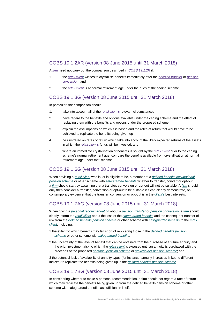## COBS 19.1.2AR (version 08 June 2015 until 31 March 2018)

A *[firm](https://www.handbook.fca.org.uk/handbook/glossary/G430.html?date=2017-04-06)* need not carry out the comparison described in *COBS [19.1.2R](https://www.handbook.fca.org.uk/handbook/COBS/19/1.html?date=2017-04-06#D7)* if:

- 1. the *retail [client](https://www.handbook.fca.org.uk/handbook/glossary/G1980.html?date=2017-04-06)* wishes to crystallise benefits immediately after the *[pension](https://www.handbook.fca.org.uk/handbook/glossary/G855.html?date=2017-04-06) transfer* or *[pension](https://www.handbook.fca.org.uk/handbook/glossary/G3480p.html?date=2017-04-06) [conversion](https://www.handbook.fca.org.uk/handbook/glossary/G3480p.html?date=2017-04-06)*; and
- 2. the *retail [client](https://www.handbook.fca.org.uk/handbook/glossary/G1980.html?date=2017-04-06)* is at normal retirement age under the rules of the ceding scheme.

### COBS 19.1.3G (version 08 June 2015 until 31 March 2018)

In particular, the comparison should:

- 1. take into account all of the *retail [client's](https://www.handbook.fca.org.uk/handbook/glossary/G1980.html?date=2017-04-06)* relevant circumstances
- 2. have regard to the benefits and options available under the ceding scheme and the effect of replacing them with the benefits and options under the proposed scheme
- 3. explain the assumptions on which it is based and the rates of return that would have to be achieved to replicate the benefits being given up
- 4. be illustrated on rates of return which take into account the likely expected returns of the assets in which the *retail [client's](https://www.handbook.fca.org.uk/handbook/glossary/G1980.html?date=2017-04-06)* funds will be invested; and
- 5. where an immediate crystallisation of benefits is sought by the *retail [client](https://www.handbook.fca.org.uk/handbook/glossary/G1980.html?date=2017-04-06)* prior to the ceding scheme's normal retirement age, compare the benefits available from crystallisation at normal retirement age under that scheme.

### COBS 19.1.6G (version 08 June 2015 until 31 March 2018)

When advising a *retail [client](https://www.handbook.fca.org.uk/handbook/glossary/G1980.html?date=2017-04-06)* who is, or is eligible to be, a member of a *defined benefits [occupational](https://www.handbook.fca.org.uk/handbook/glossary/G1704.html?date=2017-04-06) [pension](https://www.handbook.fca.org.uk/handbook/glossary/G1704.html?date=2017-04-06) scheme* or other scheme with *[safeguarded](https://www.handbook.fca.org.uk/handbook/glossary/G4547s.html?date=2017-04-06) benefits* whether to transfer, convert or opt-out, a *[firm](https://www.handbook.fca.org.uk/handbook/glossary/G430.html?date=2017-04-06)* should start by assuming that a transfer, conversion or opt-out will not be suitable. A *[firm](https://www.handbook.fca.org.uk/handbook/glossary/G430.html?date=2017-04-06)* should only then consider a transfer, conversion or opt-out to be suitable if it can clearly demonstrate, on contemporary evidence, that the transfer, conversion or opt-out is in the *[client's](https://www.handbook.fca.org.uk/handbook/glossary/G156.html?date=2017-04-06)* best interests.

## COBS 19.1.7AG (version 08 June 2015 until 31 March 2018)

When giving a *personal [recommendation](https://www.handbook.fca.org.uk/handbook/glossary/G877.html?date=2015-06-08)* about a *[pension](https://www.handbook.fca.org.uk/handbook/glossary/G855.html?date=2015-06-08) transfer* or *pension [conversion](https://www.handbook.fca.org.uk/handbook/glossary/G3480p.html?date=2015-06-08)*, a *[firm](https://www.handbook.fca.org.uk/handbook/glossary/G430.html?date=2015-06-08)* should clearly inform the *retail [client](https://www.handbook.fca.org.uk/handbook/glossary/G1980.html?date=2015-06-08)* about the loss of the *[safeguarded](https://www.handbook.fca.org.uk/handbook/glossary/G4547s.html?date=2015-06-08) benefits* and the consequent transfer of risk from the *defined benefits [pension](https://www.handbook.fca.org.uk/handbook/glossary/G273.html?date=2015-06-08) scheme* or other scheme with *[safeguarded](https://www.handbook.fca.org.uk/handbook/glossary/G4547s.html?date=2015-06-08) benefits* to the *[retail](https://www.handbook.fca.org.uk/handbook/glossary/G1980.html?date=2015-06-08) [client](https://www.handbook.fca.org.uk/handbook/glossary/G1980.html?date=2015-06-08)*, including:

- 1 the extent to which benefits may fall short of replicating those in the *defined [benefits](https://www.handbook.fca.org.uk/handbook/glossary/G273.html?date=2015-06-08) pension [scheme](https://www.handbook.fca.org.uk/handbook/glossary/G273.html?date=2015-06-08)* or other scheme with *[safeguarded](https://www.handbook.fca.org.uk/handbook/glossary/G4547s.html?date=2015-06-08) benefits*;
- 2 the uncertainty of the level of benefit that can be obtained from the purchase of a future annuity and the prior investment risk to which the *retail [client](https://www.handbook.fca.org.uk/handbook/glossary/G1980.html?date=2015-06-08)* is exposed until an annuity is purchased with the proceeds of the proposed *[personal](https://www.handbook.fca.org.uk/handbook/glossary/G876.html?date=2015-06-08) pension scheme* or *[stakeholder](https://www.handbook.fca.org.uk/handbook/glossary/G1124.html?date=2015-06-08) pension scheme*; and

3 the potential lack of availability of annuity types (for instance, annuity increases linked to different indices) to replicate the benefits being given up in the *defined [benefits](https://www.handbook.fca.org.uk/handbook/glossary/G273.html?date=2015-06-08) pension scheme*.

### COBS 19.1.7BG (version 08 June 2015 until 31 March 2018)

In considering whether to make a [personal recommendation,](https://www.handbook.fca.org.uk/handbook/glossary/G877.html?date=2015-06-08) a [firm](https://www.handbook.fca.org.uk/handbook/glossary/G430.html?date=2015-06-08) should not regard a rate of return which may replicate the benefits being given up from the [defined benefits pension scheme](https://www.handbook.fca.org.uk/handbook/glossary/G273.html?date=2015-06-08) or other scheme with [safeguarded benefits](https://www.handbook.fca.org.uk/handbook/glossary/G4547s.html?date=2015-06-08) as sufficient in itself.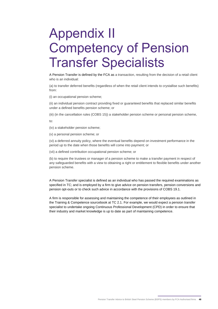# <span id="page-47-0"></span>Appendix II Competency of Pension Transfer Specialists

A Pension Transfer is defined by the FCA as a transaction, resulting from the decision of a retail client who is an individual:

(a) to transfer deferred benefits (regardless of when the retail client intends to crystallise such benefits) from:

(i) an occupational pension scheme;

(ii) an individual pension contract providing fixed or guaranteed benefits that replaced similar benefits under a defined benefits pension scheme; or

(iii) (in the cancellation rules (COBS 15)) a stakeholder pension scheme or personal pension scheme,

to:

(iv) a stakeholder pension scheme;

(v) a personal pension scheme; or

(vi) a deferred annuity policy, where the eventual benefits depend on investment performance in the period up to the date when those benefits will come into payment; or

(vii) a defined contribution occupational pension scheme; or

(b) to require the trustees or manager of a pension scheme to make a transfer payment in respect of any safeguarded benefits with a view to obtaining a right or entitlement to flexible benefits under another pension scheme.

A Pension Transfer specialist is defined as an individual who has passed the required examinations as specified in TC; and is employed by a firm to give advice on pension transfers, pension conversions and pension opt-outs or to check such advice in accordance with the provisions of COBS 19.1.

A firm is responsible for assessing and maintaining the competence of their employees as outlined in the Training & Competence sourcebook at TC 2.1. For example, we would expect a pension transfer specialist to undertake ongoing Continuous Professional Development (CPD) in order to ensure that their industry and market knowledge is up to date as part of maintaining competence.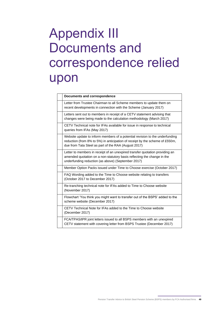# <span id="page-48-0"></span>Appendix III Documents and correspondence relied upon

| <b>Documents and correspondence</b>                                                                                                                                                                                  |
|----------------------------------------------------------------------------------------------------------------------------------------------------------------------------------------------------------------------|
| Letter from Trustee Chairman to all Scheme members to update them on<br>recent developments in connection with the Scheme (January 2017)                                                                             |
| Letters sent out to members in receipt of a CETV statement advising that<br>changes were being made to the calculation methodology (March 2017)                                                                      |
| CETV Technical note for IFAs available for issue in response to technical<br>queries from IFAs (May 2017)                                                                                                            |
| Website update to inform members of a potential revision to the underfunding<br>reduction (from 8% to 5%) in anticipation of receipt by the scheme of £550m,<br>due from Tata Steel as part of the RAA (August 2017) |
| Letter to members in receipt of an unexpired transfer quotation providing an<br>amended quotation on a non-statutory basis reflecting the change in the<br>underfunding reduction (as above) (September 2017)        |
| Member Option Packs issued under Time to Choose exercise (October 2017)                                                                                                                                              |
| FAQ Wording added to the Time to Choose website relating to transfers<br>(October 2017 to December 2017)                                                                                                             |
| Re-tranching technical note for IFAs added to Time to Choose website<br>(November 2017)                                                                                                                              |
| Flowchart 'You think you might want to transfer out of the BSPS' added to the<br>scheme website (December 2017)                                                                                                      |
| CETV Technical Note for IFAs added to the Time to Choose website<br>(December 2017)                                                                                                                                  |
| FCA/TPAS/tPR joint letters issued to all BSPS members with an unexpired<br>CETV statement with covering letter from BSPS Trustee (December 2017)                                                                     |